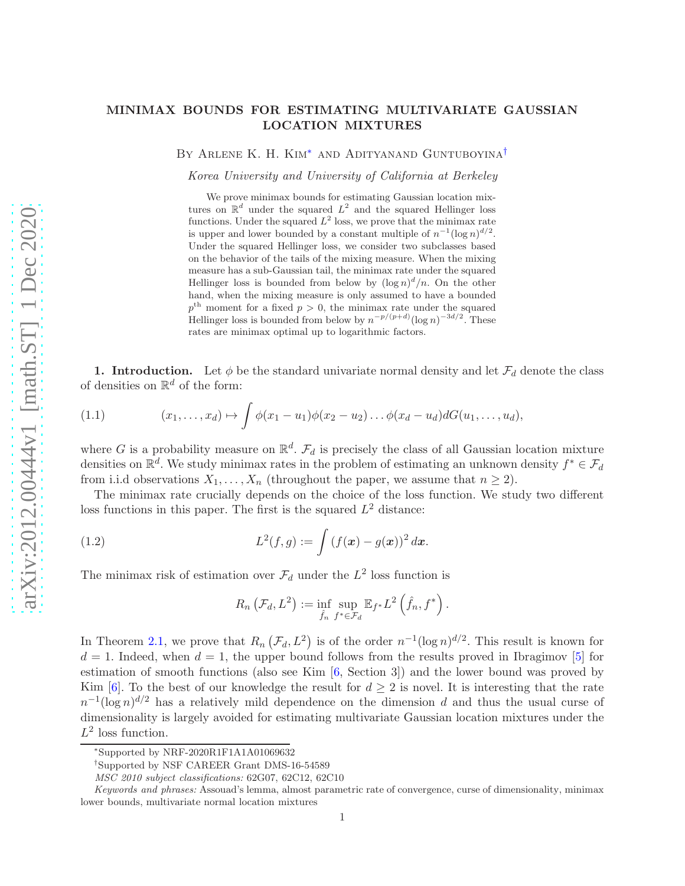## MINIMAX BOUNDS FOR ESTIMATING MULTIVARIATE GAUSSIAN LOCATION MIXTURES

By Arlene K. H. Kim[∗](#page-0-0) and Adityanand Guntuboyina[†](#page-0-1)

Korea University and University of California at Berkeley

We prove minimax bounds for estimating Gaussian location mixtures on  $\mathbb{R}^d$  under the squared  $L^2$  and the squared Hellinger loss functions. Under the squared  $L^2$  loss, we prove that the minimax rate is upper and lower bounded by a constant multiple of  $n^{-1}(\log n)^{d/2}$ . Under the squared Hellinger loss, we consider two subclasses based on the behavior of the tails of the mixing measure. When the mixing measure has a sub-Gaussian tail, the minimax rate under the squared Hellinger loss is bounded from below by  $(\log n)^d/n$ . On the other hand, when the mixing measure is only assumed to have a bounded  $p<sup>th</sup>$  moment for a fixed  $p > 0$ , the minimax rate under the squared Hellinger loss is bounded from below by  $n^{-p/(p+d)}(\log n)^{-3d/2}$ . These rates are minimax optimal up to logarithmic factors.

1. Introduction. Let  $\phi$  be the standard univariate normal density and let  $\mathcal{F}_d$  denote the class of densities on  $\mathbb{R}^d$  of the form:

<span id="page-0-2"></span>(1.1) 
$$
(x_1,\ldots,x_d)\mapsto \int \phi(x_1-u_1)\phi(x_2-u_2)\ldots\phi(x_d-u_d)dG(u_1,\ldots,u_d),
$$

where G is a probability measure on  $\mathbb{R}^d$ .  $\mathcal{F}_d$  is precisely the class of all Gaussian location mixture densities on  $\mathbb{R}^d$ . We study minimax rates in the problem of estimating an unknown density  $f^* \in \mathcal{F}_d$ from i.i.d observations  $X_1, \ldots, X_n$  (throughout the paper, we assume that  $n \geq 2$ ).

The minimax rate crucially depends on the choice of the loss function. We study two different loss functions in this paper. The first is the squared  $L^2$  distance:

(1.2) 
$$
L^{2}(f,g) := \int (f(\mathbf{x}) - g(\mathbf{x}))^{2} d\mathbf{x}.
$$

The minimax risk of estimation over  $\mathcal{F}_d$  under the  $L^2$  loss function is

<span id="page-0-3"></span>
$$
R_n\left(\mathcal{F}_d, L^2\right) := \inf_{\hat{f}_n} \sup_{f^* \in \mathcal{F}_d} \mathbb{E}_{f^*} L^2\left(\hat{f}_n, f^*\right).
$$

In Theorem [2.1,](#page-2-0) we prove that  $R_n(\mathcal{F}_d, L^2)$  is of the order  $n^{-1}(\log n)^{d/2}$ . This result is known for  $d = 1$ . Indeed, when  $d = 1$ , the upper bound follows from the results proved in Ibragimov [\[5\]](#page-18-0) for estimation of smooth functions (also see Kim [\[6,](#page-18-1) Section 3]) and the lower bound was proved by Kim [\[6](#page-18-1)]. To the best of our knowledge the result for  $d \geq 2$  is novel. It is interesting that the rate  $n^{-1}(\log n)^{d/2}$  has a relatively mild dependence on the dimension d and thus the usual curse of dimensionality is largely avoided for estimating multivariate Gaussian location mixtures under the  $L^2$  loss function.

<span id="page-0-0"></span><sup>∗</sup>Supported by NRF-2020R1F1A1A01069632

<span id="page-0-1"></span><sup>†</sup> Supported by NSF CAREER Grant DMS-16-54589

MSC 2010 subject classifications: 62G07, 62C12, 62C10

Keywords and phrases: Assouad's lemma, almost parametric rate of convergence, curse of dimensionality, minimax lower bounds, multivariate normal location mixtures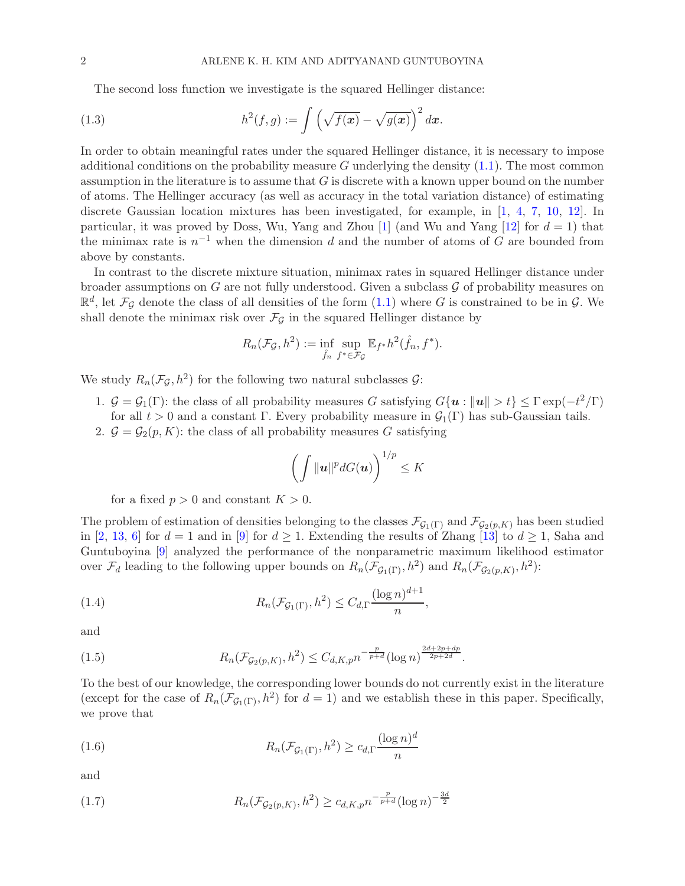<span id="page-1-4"></span>The second loss function we investigate is the squared Hellinger distance:

(1.3) 
$$
h^{2}(f,g) := \int \left(\sqrt{f(x)} - \sqrt{g(x)}\right)^{2} dx.
$$

In order to obtain meaningful rates under the squared Hellinger distance, it is necessary to impose additional conditions on the probability measure  $G$  underlying the density  $(1.1)$ . The most common assumption in the literature is to assume that  $G$  is discrete with a known upper bound on the number of atoms. The Hellinger accuracy (as well as accuracy in the total variation distance) of estimating discrete Gaussian location mixtures has been investigated, for example, in [\[1](#page-18-2), [4,](#page-18-3) [7](#page-18-4), [10,](#page-18-5) [12\]](#page-18-6). In particular, it was proved by Doss, Wu, Yang and Zhou [\[1\]](#page-18-2) (and Wu and Yang [\[12](#page-18-6)] for  $d = 1$ ) that the minimax rate is  $n^{-1}$  when the dimension d and the number of atoms of G are bounded from above by constants.

In contrast to the discrete mixture situation, minimax rates in squared Hellinger distance under broader assumptions on  $G$  are not fully understood. Given a subclass  $\mathcal G$  of probability measures on  $\mathbb{R}^d$ , let  $\mathcal{F}_{\mathcal{G}}$  denote the class of all densities of the form  $(1.1)$  where G is constrained to be in  $\mathcal{G}$ . We shall denote the minimax risk over  $\mathcal{F}_{\mathcal{G}}$  in the squared Hellinger distance by

$$
R_n(\mathcal{F}_{\mathcal{G}}, h^2) := \inf_{\hat{f}_n} \sup_{f^* \in \mathcal{F}_{\mathcal{G}}} \mathbb{E}_{f^*} h^2(\hat{f}_n, f^*).
$$

We study  $R_n(\mathcal{F}_{\mathcal{G}}, h^2)$  for the following two natural subclasses  $\mathcal{G}$ :

- 1.  $\mathcal{G} = \mathcal{G}_1(\Gamma)$ : the class of all probability measures G satisfying  $G\{\boldsymbol{u}: ||\boldsymbol{u}|| > t\} \leq \Gamma \exp(-t^2/\Gamma)$ for all  $t > 0$  and a constant Γ. Every probability measure in  $\mathcal{G}_1(\Gamma)$  has sub-Gaussian tails.
- 2.  $\mathcal{G} = \mathcal{G}_2(p, K)$ : the class of all probability measures G satisfying

<span id="page-1-2"></span>
$$
\left(\int \|\mathbf{u}\|^p dG(\mathbf{u})\right)^{1/p} \leq K
$$

for a fixed  $p > 0$  and constant  $K > 0$ .

The problem of estimation of densities belonging to the classes  $\mathcal{F}_{G_1(\Gamma)}$  and  $\mathcal{F}_{G_2(p,K)}$  has been studied in [\[2](#page-18-7), [13](#page-18-8), [6](#page-18-1)] for  $d = 1$  and in [\[9](#page-18-9)] for  $d \ge 1$ . Extending the results of Zhang [\[13](#page-18-8)] to  $d \ge 1$ , Saha and Guntuboyina [\[9\]](#page-18-9) analyzed the performance of the nonparametric maximum likelihood estimator over  $\mathcal{F}_d$  leading to the following upper bounds on  $R_n(\mathcal{F}_{\mathcal{G}_1(\Gamma)}, h^2)$  and  $R_n(\mathcal{F}_{\mathcal{G}_2(p,K)}, h^2)$ :

,

(1.4) 
$$
R_n(\mathcal{F}_{\mathcal{G}_1(\Gamma)}, h^2) \leq C_{d,\Gamma} \frac{(\log n)^{d+1}}{n}
$$

and

<span id="page-1-3"></span>(1.5) 
$$
R_n(\mathcal{F}_{\mathcal{G}_2(p,K)}, h^2) \leq C_{d,K,p} n^{-\frac{p}{p+d}} (\log n)^{\frac{2d+2p+dp}{2p+2d}}.
$$

To the best of our knowledge, the corresponding lower bounds do not currently exist in the literature (except for the case of  $R_n(\mathcal{F}_{G_1(\Gamma)}, h^2)$  for  $d = 1$ ) and we establish these in this paper. Specifically, we prove that

<span id="page-1-0"></span>(1.6) 
$$
R_n(\mathcal{F}_{\mathcal{G}_1(\Gamma)}, h^2) \ge c_{d,\Gamma} \frac{(\log n)^d}{n}
$$

and

<span id="page-1-1"></span>(1.7) 
$$
R_n(\mathcal{F}_{\mathcal{G}_2(p,K)}, h^2) \ge c_{d,K,p} n^{-\frac{p}{p+d}} (\log n)^{-\frac{3d}{2}}
$$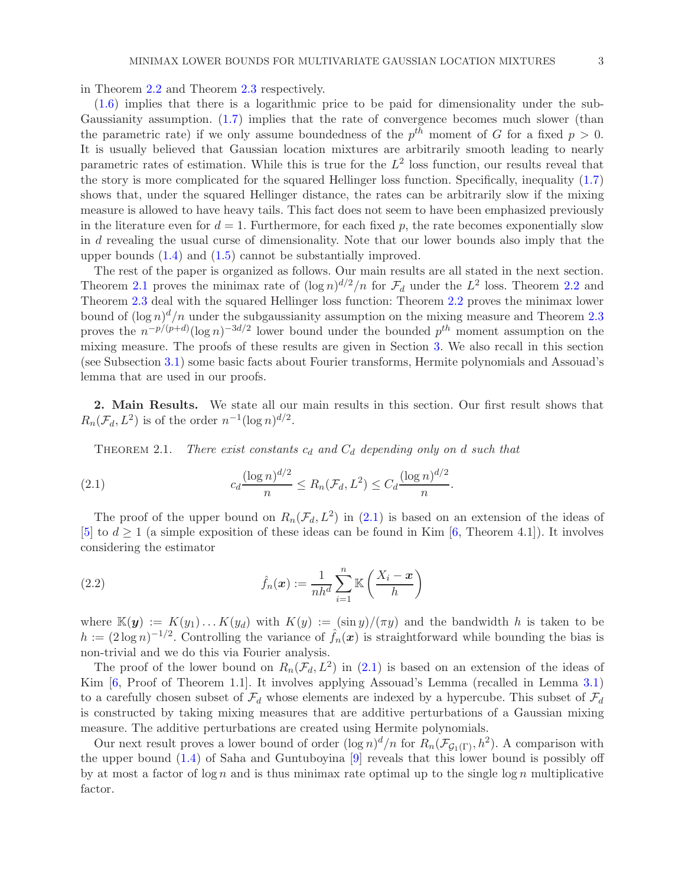in Theorem [2.2](#page-3-0) and Theorem [2.3](#page-3-1) respectively.

[\(1.6\)](#page-1-0) implies that there is a logarithmic price to be paid for dimensionality under the sub-Gaussianity assumption. [\(1.7\)](#page-1-1) implies that the rate of convergence becomes much slower (than the parametric rate) if we only assume boundedness of the  $p^{th}$  moment of G for a fixed  $p > 0$ . It is usually believed that Gaussian location mixtures are arbitrarily smooth leading to nearly parametric rates of estimation. While this is true for the  $L^2$  loss function, our results reveal that the story is more complicated for the squared Hellinger loss function. Specifically, inequality [\(1.7\)](#page-1-1) shows that, under the squared Hellinger distance, the rates can be arbitrarily slow if the mixing measure is allowed to have heavy tails. This fact does not seem to have been emphasized previously in the literature even for  $d = 1$ . Furthermore, for each fixed p, the rate becomes exponentially slow in d revealing the usual curse of dimensionality. Note that our lower bounds also imply that the upper bounds [\(1.4\)](#page-1-2) and [\(1.5\)](#page-1-3) cannot be substantially improved.

The rest of the paper is organized as follows. Our main results are all stated in the next section. Theorem [2.1](#page-2-0) proves the minimax rate of  $(\log n)^{d/2}/n$  for  $\mathcal{F}_d$  under the  $L^2$  loss. Theorem [2.2](#page-3-0) and Theorem [2.3](#page-3-1) deal with the squared Hellinger loss function: Theorem [2.2](#page-3-0) proves the minimax lower bound of  $(\log n)^d/n$  under the subgaussianity assumption on the mixing measure and Theorem [2.3](#page-3-1) proves the  $n^{-p/(p+d)}(\log n)^{-3d/2}$  lower bound under the bounded  $p^{th}$  moment assumption on the mixing measure. The proofs of these results are given in Section [3.](#page-3-2) We also recall in this section (see Subsection [3.1\)](#page-3-3) some basic facts about Fourier transforms, Hermite polynomials and Assouad's lemma that are used in our proofs.

2. Main Results. We state all our main results in this section. Our first result shows that  $R_n(\mathcal{F}_d, L^2)$  is of the order  $n^{-1}(\log n)^{d/2}$ .

<span id="page-2-1"></span><span id="page-2-0"></span>THEOREM 2.1. There exist constants  $c_d$  and  $C_d$  depending only on d such that

(2.1) 
$$
c_d \frac{(\log n)^{d/2}}{n} \le R_n(\mathcal{F}_d, L^2) \le C_d \frac{(\log n)^{d/2}}{n}
$$

The proof of the upper bound on  $R_n(\mathcal{F}_d, L^2)$  in [\(2.1\)](#page-2-1) is based on an extension of the ideas of [\[5](#page-18-0)] to  $d \geq 1$  (a simple exposition of these ideas can be found in Kim [\[6,](#page-18-1) Theorem 4.1]). It involves considering the estimator

.

<span id="page-2-2"></span>(2.2) 
$$
\hat{f}_n(\boldsymbol{x}) := \frac{1}{nh^d} \sum_{i=1}^n \mathbb{K}\left(\frac{X_i - \boldsymbol{x}}{h}\right)
$$

where  $\mathbb{K}(\mathbf{y}) := K(y_1) \dots K(y_d)$  with  $K(y) := (\sin y)/(\pi y)$  and the bandwidth h is taken to be  $h := (2 \log n)^{-1/2}$ . Controlling the variance of  $\hat{f}_n(x)$  is straightforward while bounding the bias is non-trivial and we do this via Fourier analysis.

The proof of the lower bound on  $R_n(\mathcal{F}_d, L^2)$  in [\(2.1\)](#page-2-1) is based on an extension of the ideas of Kim [\[6,](#page-18-1) Proof of Theorem 1.1]. It involves applying Assouad's Lemma (recalled in Lemma [3.1\)](#page-4-0) to a carefully chosen subset of  $\mathcal{F}_d$  whose elements are indexed by a hypercube. This subset of  $\mathcal{F}_d$ is constructed by taking mixing measures that are additive perturbations of a Gaussian mixing measure. The additive perturbations are created using Hermite polynomials.

Our next result proves a lower bound of order  $(\log n)^d/n$  for  $R_n(\mathcal{F}_{\mathcal{G}_1(\Gamma)}, h^2)$ . A comparison with the upper bound [\(1.4\)](#page-1-2) of Saha and Guntuboyina [\[9](#page-18-9)] reveals that this lower bound is possibly off by at most a factor of  $\log n$  and is thus minimax rate optimal up to the single  $\log n$  multiplicative factor.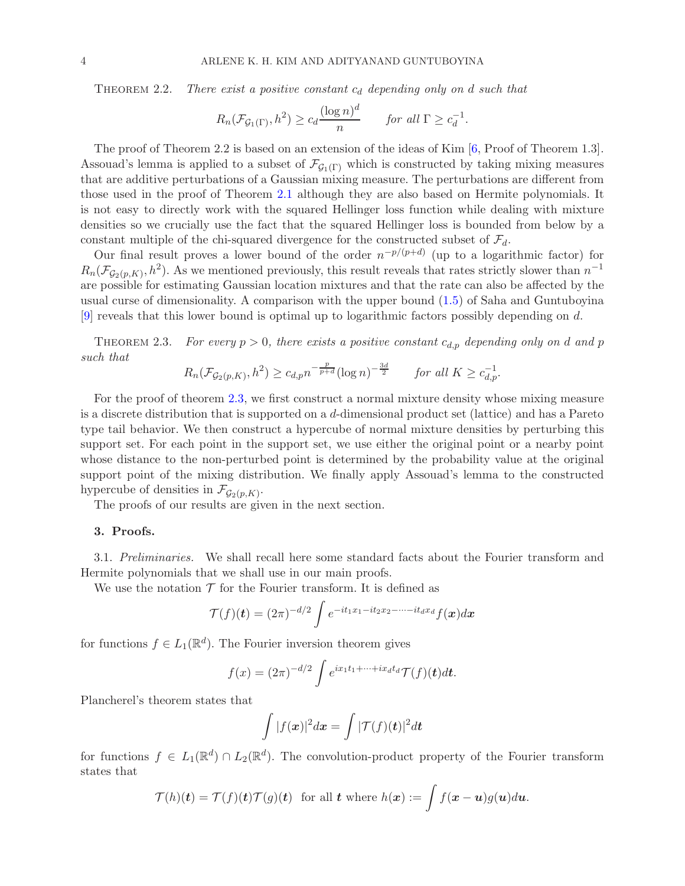<span id="page-3-0"></span>THEOREM 2.2. There exist a positive constant  $c_d$  depending only on d such that

$$
R_n(\mathcal{F}_{\mathcal{G}_1(\Gamma)}, h^2) \ge c_d \frac{(\log n)^d}{n} \quad \text{for all } \Gamma \ge c_d^{-1}.
$$

The proof of Theorem 2.2 is based on an extension of the ideas of Kim [\[6,](#page-18-1) Proof of Theorem 1.3]. Assouad's lemma is applied to a subset of  $\mathcal{F}_{G_1(\Gamma)}$  which is constructed by taking mixing measures that are additive perturbations of a Gaussian mixing measure. The perturbations are different from those used in the proof of Theorem [2.1](#page-2-0) although they are also based on Hermite polynomials. It is not easy to directly work with the squared Hellinger loss function while dealing with mixture densities so we crucially use the fact that the squared Hellinger loss is bounded from below by a constant multiple of the chi-squared divergence for the constructed subset of  $\mathcal{F}_d$ .

Our final result proves a lower bound of the order  $n^{-p/(p+d)}$  (up to a logarithmic factor) for  $R_n(\mathcal{F}_{\mathcal{G}_2(p,K)}, h^2)$ . As we mentioned previously, this result reveals that rates strictly slower than  $n^{-1}$ are possible for estimating Gaussian location mixtures and that the rate can also be affected by the usual curse of dimensionality. A comparison with the upper bound  $(1.5)$  of Saha and Guntuboyina [\[9](#page-18-9)] reveals that this lower bound is optimal up to logarithmic factors possibly depending on d.

<span id="page-3-1"></span>THEOREM 2.3. For every  $p > 0$ , there exists a positive constant  $c_{d,p}$  depending only on d and p such that

$$
R_n(\mathcal{F}_{\mathcal{G}_2(p,K)}, h^2) \ge c_{d,p} n^{-\frac{p}{p+d}} (\log n)^{-\frac{3d}{2}} \quad \text{for all } K \ge c_{d,p}^{-1}.
$$

For the proof of theorem [2.3,](#page-3-1) we first construct a normal mixture density whose mixing measure is a discrete distribution that is supported on a d-dimensional product set (lattice) and has a Pareto type tail behavior. We then construct a hypercube of normal mixture densities by perturbing this support set. For each point in the support set, we use either the original point or a nearby point whose distance to the non-perturbed point is determined by the probability value at the original support point of the mixing distribution. We finally apply Assouad's lemma to the constructed hypercube of densities in  $\mathcal{F}_{\mathcal{G}_2(p,K)}$ .

<span id="page-3-2"></span>The proofs of our results are given in the next section.

## <span id="page-3-3"></span>3. Proofs.

3.1. Preliminaries. We shall recall here some standard facts about the Fourier transform and Hermite polynomials that we shall use in our main proofs.

We use the notation  $\mathcal T$  for the Fourier transform. It is defined as

$$
\mathcal{T}(f)(t) = (2\pi)^{-d/2} \int e^{-it_1x_1 - it_2x_2 - \cdots - it_dx_d} f(\boldsymbol{x})d\boldsymbol{x}
$$

for functions  $f \in L_1(\mathbb{R}^d)$ . The Fourier inversion theorem gives

$$
f(x) = (2\pi)^{-d/2} \int e^{ix_1t_1 + \dots + ix_dt_d} \mathcal{T}(f)(t)dt.
$$

Plancherel's theorem states that

$$
\int |f(\boldsymbol{x})|^2 d\boldsymbol{x} = \int |\mathcal{T}(f)(\boldsymbol{t})|^2 d\boldsymbol{t}
$$

for functions  $f \in L_1(\mathbb{R}^d) \cap L_2(\mathbb{R}^d)$ . The convolution-product property of the Fourier transform states that

$$
\mathcal{T}(h)(t) = \mathcal{T}(f)(t)\mathcal{T}(g)(t) \text{ for all } t \text{ where } h(x) := \int f(x - u)g(u)du.
$$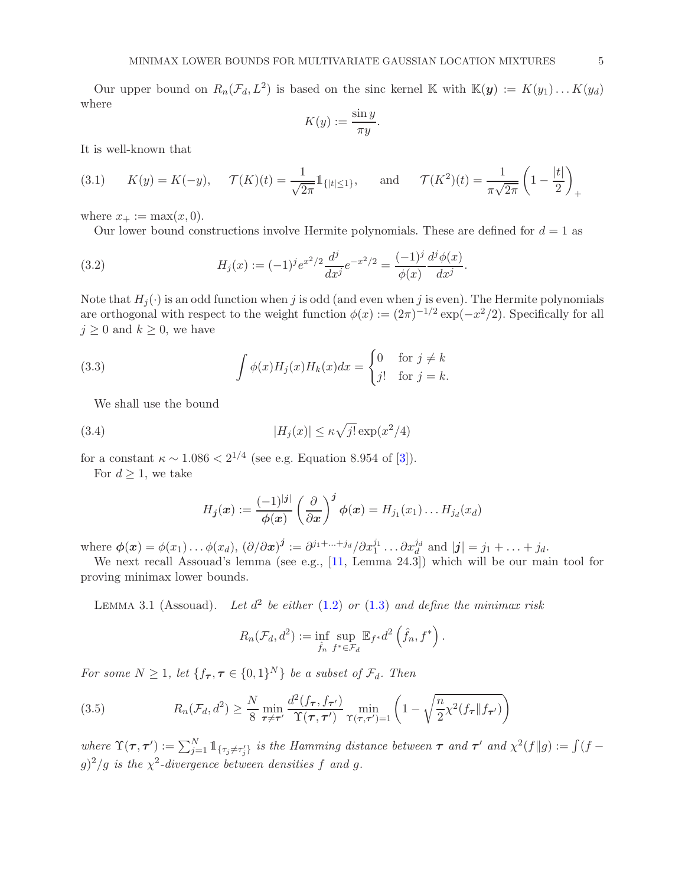Our upper bound on  $R_n(\mathcal{F}_d, L^2)$  is based on the sinc kernel K with  $\mathbb{K}(y) := K(y_1) \dots K(y_d)$ where

$$
K(y) := \frac{\sin y}{\pi y}.
$$

It is well-known that

<span id="page-4-1"></span>(3.1) 
$$
K(y) = K(-y), \quad \mathcal{T}(K)(t) = \frac{1}{\sqrt{2\pi}} 1_{\{|t| \le 1\}}, \quad \text{and} \quad \mathcal{T}(K^2)(t) = \frac{1}{\pi \sqrt{2\pi}} \left(1 - \frac{|t|}{2}\right)_+
$$

where  $x_+ := \max(x, 0)$ .

<span id="page-4-2"></span>Our lower bound constructions involve Hermite polynomials. These are defined for  $d = 1$  as

(3.2) 
$$
H_j(x) := (-1)^j e^{x^2/2} \frac{d^j}{dx^j} e^{-x^2/2} = \frac{(-1)^j}{\phi(x)} \frac{d^j \phi(x)}{dx^j}.
$$

Note that  $H_i(\cdot)$  is an odd function when j is odd (and even when j is even). The Hermite polynomials are orthogonal with respect to the weight function  $\phi(x) := (2\pi)^{-1/2} \exp(-x^2/2)$ . Specifically for all  $j \geq 0$  and  $k \geq 0$ , we have

(3.3) 
$$
\int \phi(x)H_j(x)H_k(x)dx = \begin{cases} 0 & \text{for } j \neq k \\ j! & \text{for } j = k. \end{cases}
$$

We shall use the bound

(3.4) 
$$
|H_j(x)| \le \kappa \sqrt{j!} \exp(x^2/4)
$$

for a constant  $\kappa \sim 1.086 < 2^{1/4}$  (see e.g. Equation 8.954 of [\[3\]](#page-18-10)).

For  $d \geq 1$ , we take

<span id="page-4-4"></span><span id="page-4-3"></span>
$$
H_{\boldsymbol{j}}(\boldsymbol{x}) := \frac{(-1)^{|\boldsymbol{j}|}}{\phi(\boldsymbol{x})} \left(\frac{\partial}{\partial \boldsymbol{x}}\right)^{\boldsymbol{j}} \phi(\boldsymbol{x}) = H_{j_1}(x_1) \dots H_{j_d}(x_d)
$$

where  $\phi(\boldsymbol{x}) = \phi(x_1) \dots \phi(x_d)$ ,  $(\partial/\partial \boldsymbol{x})^{\boldsymbol{j}} := \partial^{j_1 + \dots + j_d} / \partial x_1^{j_1} \dots \partial x_d^{j_d}$  and  $|\boldsymbol{j}| = j_1 + \dots + j_d$ .

We next recall Assouad's lemma (see e.g., [\[11](#page-18-11), Lemma 24.3]) which will be our main tool for proving minimax lower bounds.

<span id="page-4-0"></span>LEMMA 3.1 (Assouad). Let  $d^2$  be either [\(1.2\)](#page-0-3) or [\(1.3\)](#page-1-4) and define the minimax risk

$$
R_n(\mathcal{F}_d, d^2) := \inf_{\hat{f}_n} \sup_{f^* \in \mathcal{F}_d} \mathbb{E}_{f^*} d^2 \left(\hat{f}_n, f^*\right).
$$

For some  $N \geq 1$ , let  $\{f_{\tau}, \tau \in \{0,1\}^N\}$  be a subset of  $\mathcal{F}_d$ . Then

(3.5) 
$$
R_n(\mathcal{F}_d, d^2) \ge \frac{N}{8} \min_{\tau \ne \tau'} \frac{d^2(f_{\tau}, f_{\tau'})}{\Upsilon(\tau, \tau')} \min_{\Upsilon(\tau, \tau') = 1} \left(1 - \sqrt{\frac{n}{2} \chi^2(f_{\tau} || f_{\tau'})}\right)
$$

where  $\Upsilon(\tau, \tau') := \sum_{j=1}^N \mathbb{1}_{\{\tau_j \neq \tau'_j\}}$  is the Hamming distance between  $\tau$  and  $\tau'$  and  $\chi^2(f||g) := \int (f - g) f(g)$  $g$ )<sup>2</sup>/g is the  $\chi$ <sup>2</sup>-divergence between densities f and g.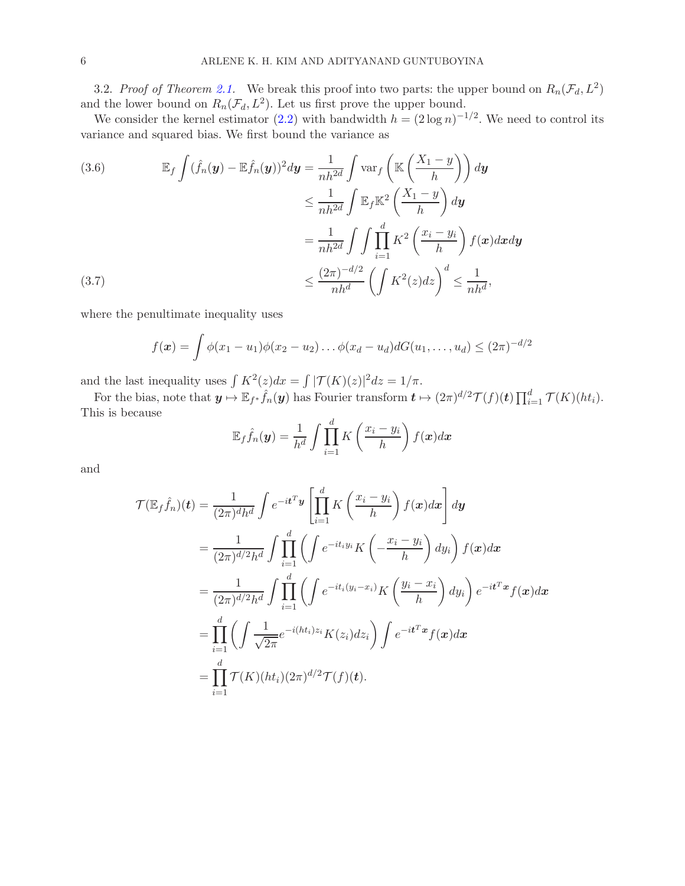3.2. Proof of Theorem [2.1.](#page-2-0) We break this proof into two parts: the upper bound on  $R_n(\mathcal{F}_d, L^2)$ and the lower bound on  $R_n(\mathcal{F}_d, L^2)$ . Let us first prove the upper bound.

We consider the kernel estimator [\(2.2\)](#page-2-2) with bandwidth  $h = (2 \log n)^{-1/2}$ . We need to control its variance and squared bias. We first bound the variance as

(3.6) 
$$
\mathbb{E}_f \int (\hat{f}_n(\mathbf{y}) - \mathbb{E}\hat{f}_n(\mathbf{y}))^2 d\mathbf{y} = \frac{1}{nh^{2d}} \int \text{var}_f \left( \mathbb{K} \left( \frac{X_1 - y}{h} \right) \right) d\mathbf{y}
$$

$$
\leq \frac{1}{nh^{2d}} \int \mathbb{E}_f \mathbb{K}^2 \left( \frac{X_1 - y}{h} \right) d\mathbf{y}
$$

$$
= \frac{1}{nh^{2d}} \int \int \prod_{i=1}^d K^2 \left( \frac{x_i - y_i}{h} \right) f(\mathbf{x}) d\mathbf{x} d\mathbf{y}
$$

$$
\leq \frac{(2\pi)^{-d/2}}{nh^d} \left( \int K^2(z) dz \right)^d \leq \frac{1}{nh^d},
$$

<span id="page-5-0"></span>where the penultimate inequality uses

$$
f(\boldsymbol{x}) = \int \phi(x_1 - u_1) \phi(x_2 - u_2) \dots \phi(x_d - u_d) dG(u_1, \dots, u_d) \leq (2\pi)^{-d/2}
$$

and the last inequality uses  $\int K^2(z)dx = \int |\mathcal{T}(K)(z)|^2 dz = 1/\pi$ .

For the bias, note that  $y \mapsto \mathbb{E}_{f^*} \hat{f}_n(y)$  has Fourier transform  $t \mapsto (2\pi)^{d/2} \mathcal{T}(f)(t) \prod_{i=1}^d \mathcal{T}(K)(ht_i)$ . This is because

$$
\mathbb{E}_f \hat{f}_n(\boldsymbol{y}) = \frac{1}{h^d} \int \prod_{i=1}^d K\left(\frac{x_i - y_i}{h}\right) f(\boldsymbol{x}) d\boldsymbol{x}
$$

and

$$
\mathcal{T}(\mathbb{E}_f \hat{f}_n)(t) = \frac{1}{(2\pi)^d h^d} \int e^{-it^T \mathbf{y}} \left[ \prod_{i=1}^d K\left(\frac{x_i - y_i}{h}\right) f(\mathbf{x}) d\mathbf{x} \right] d\mathbf{y}
$$
  
\n
$$
= \frac{1}{(2\pi)^{d/2} h^d} \int \prod_{i=1}^d \left( \int e^{-it_i y_i} K\left(-\frac{x_i - y_i}{h}\right) dy_i \right) f(\mathbf{x}) d\mathbf{x}
$$
  
\n
$$
= \frac{1}{(2\pi)^{d/2} h^d} \int \prod_{i=1}^d \left( \int e^{-it_i (y_i - x_i)} K\left(\frac{y_i - x_i}{h}\right) dy_i \right) e^{-it^T \mathbf{x}} f(\mathbf{x}) d\mathbf{x}
$$
  
\n
$$
= \prod_{i=1}^d \left( \int \frac{1}{\sqrt{2\pi}} e^{-i(ht_i) z_i} K(z_i) dz_i \right) \int e^{-it^T \mathbf{x}} f(\mathbf{x}) d\mathbf{x}
$$
  
\n
$$
= \prod_{i=1}^d \mathcal{T}(K)(ht_i) (2\pi)^{d/2} \mathcal{T}(f)(t).
$$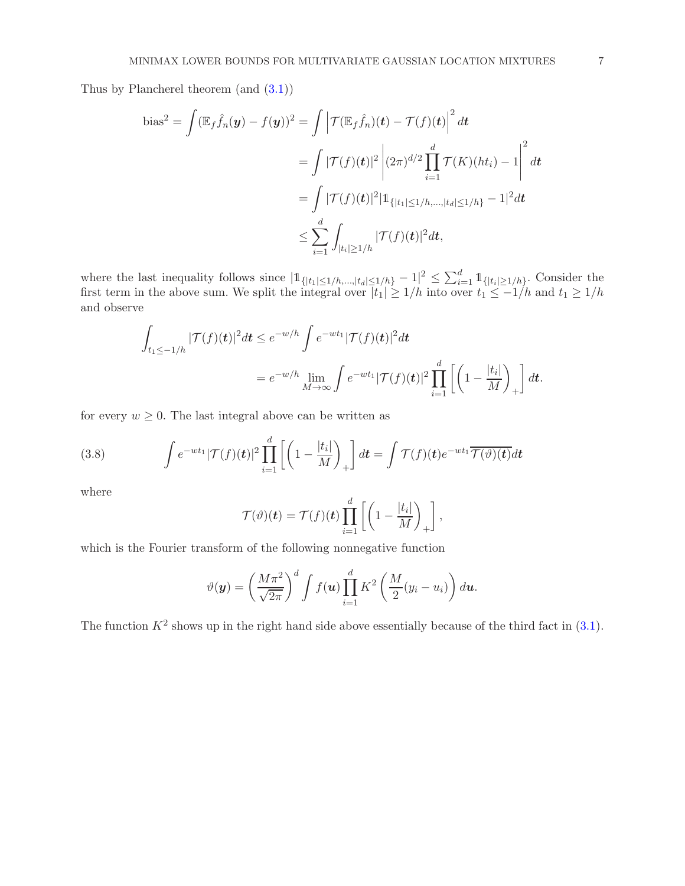Thus by Plancherel theorem (and [\(3.1\)](#page-4-1))

bias<sup>2</sup> = 
$$
\int (\mathbb{E}_f \hat{f}_n(\mathbf{y}) - f(\mathbf{y}))^2 = \int \left| \mathcal{T}(\mathbb{E}_f \hat{f}_n)(\mathbf{t}) - \mathcal{T}(f)(\mathbf{t}) \right|^2 d\mathbf{t}
$$
  
\n=  $\int |\mathcal{T}(f)(\mathbf{t})|^2 \left| (2\pi)^{d/2} \prod_{i=1}^d \mathcal{T}(K)(ht_i) - 1 \right|^2 d\mathbf{t}$   
\n=  $\int |\mathcal{T}(f)(\mathbf{t})|^2 |\mathbf{1}_{\{|t_1| \le 1/h, \dots, |t_d| \le 1/h\}} - 1|^2 d\mathbf{t}$   
\n $\le \sum_{i=1}^d \int_{|t_i| \ge 1/h} |\mathcal{T}(f)(\mathbf{t})|^2 d\mathbf{t},$ 

where the last inequality follows since  $|\mathbb{1}_{\{|t_1| \leq 1/h,\ldots,|t_d| \leq 1/h\}} - 1|^2 \leq \sum_{i=1}^d \mathbb{1}_{\{|t_i| \geq 1/h\}}$ . Consider the first term in the above sum. We split the integral over  $|t_1| \geq 1/h$  into over  $t_1 \leq -1/h$  and  $t_1 \geq 1/h$ and observe

$$
\int_{t_1 \le -1/h} |\mathcal{T}(f)(t)|^2 dt \le e^{-w/h} \int e^{-wt_1} |\mathcal{T}(f)(t)|^2 dt
$$
  
=  $e^{-w/h} \lim_{M \to \infty} \int e^{-wt_1} |\mathcal{T}(f)(t)|^2 \prod_{i=1}^d \left[ \left(1 - \frac{|t_i|}{M} \right)_+ \right] dt.$ 

for every  $w \geq 0$ . The last integral above can be written as

<span id="page-6-0"></span>(3.8) 
$$
\int e^{-wt_1} |\mathcal{T}(f)(t)|^2 \prod_{i=1}^d \left[ \left( 1 - \frac{|t_i|}{M} \right)_+ \right] dt = \int \mathcal{T}(f)(t) e^{-wt_1} \overline{\mathcal{T}(\vartheta)(t)} dt
$$

where

$$
\mathcal{T}(\vartheta)(\boldsymbol{t})=\mathcal{T}(f)(\boldsymbol{t})\prod_{i=1}^d\left[\left(1-\frac{|t_i|}{M}\right)_+\right],
$$

which is the Fourier transform of the following nonnegative function

$$
\vartheta(\boldsymbol{y}) = \left(\frac{M\pi^2}{\sqrt{2\pi}}\right)^d \int f(\boldsymbol{u}) \prod_{i=1}^d K^2 \left(\frac{M}{2}(y_i - u_i)\right) d\boldsymbol{u}.
$$

The function  $K^2$  shows up in the right hand side above essentially because of the third fact in  $(3.1)$ .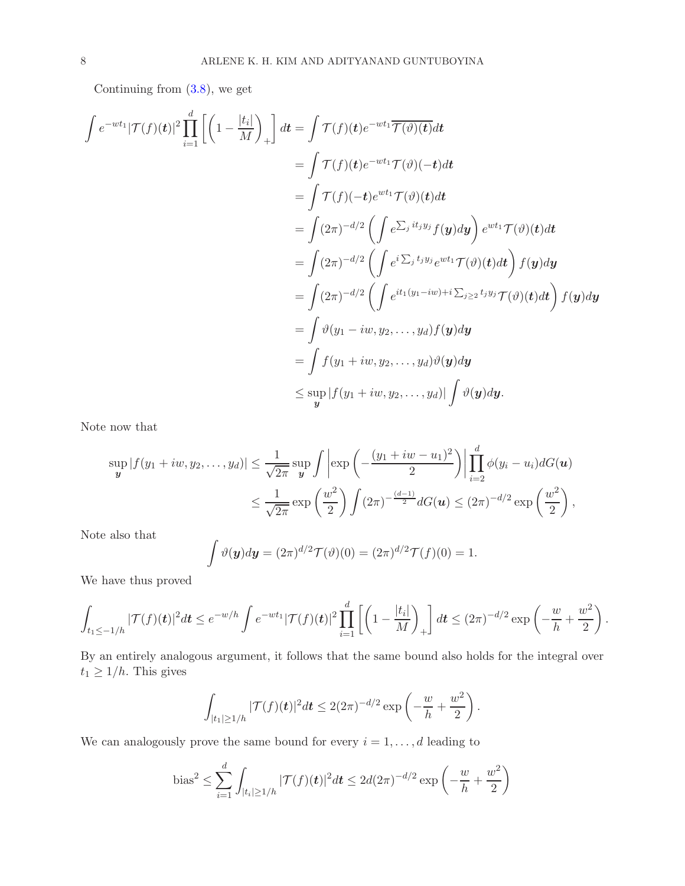Continuing from [\(3.8\)](#page-6-0), we get

$$
\int e^{-wt_1} |\mathcal{T}(f)(t)|^2 \prod_{i=1}^d \left[ \left( 1 - \frac{|t_i|}{M} \right)_+ \right] dt = \int \mathcal{T}(f)(t) e^{-wt_1} \overline{\mathcal{T}(\vartheta)(t)} dt
$$
\n
$$
= \int \mathcal{T}(f)(t) e^{-wt_1} \mathcal{T}(\vartheta)(-t) dt
$$
\n
$$
= \int (\mathcal{T}(f)(-t) e^{wt_1} \mathcal{T}(\vartheta)(t) dt
$$
\n
$$
= \int (2\pi)^{-d/2} \left( \int e^{\sum_j iy_j} f(y) dy \right) e^{wt_1} \mathcal{T}(\vartheta)(t) dt
$$
\n
$$
= \int (2\pi)^{-d/2} \left( \int e^{i \sum_j t_j y_j} e^{wt_1} \mathcal{T}(\vartheta)(t) dt \right) f(y) dy
$$
\n
$$
= \int (2\pi)^{-d/2} \left( \int e^{it_1(y_1 - iw)} + i \sum_{j \ge 2} t_j y_j \mathcal{T}(\vartheta)(t) dt \right) f(y) dy
$$
\n
$$
= \int \vartheta(y_1 - iw, y_2, \dots, y_d) f(y) dy
$$
\n
$$
= \int f(y_1 + iw, y_2, \dots, y_d) \vartheta(y) dy
$$
\n
$$
\leq \sup_y |f(y_1 + iw, y_2, \dots, y_d)| \int \vartheta(y) dy.
$$

Note now that

$$
\sup_{\mathbf{y}} |f(y_1 + iw, y_2, \dots, y_d)| \le \frac{1}{\sqrt{2\pi}} \sup_{\mathbf{y}} \int \left| \exp\left(-\frac{(y_1 + iw - u_1)^2}{2}\right) \right| \prod_{i=2}^d \phi(y_i - u_i) dG(\mathbf{u})
$$
  

$$
\le \frac{1}{\sqrt{2\pi}} \exp\left(\frac{w^2}{2}\right) \int (2\pi)^{-\frac{(d-1)}{2}} dG(\mathbf{u}) \le (2\pi)^{-d/2} \exp\left(\frac{w^2}{2}\right),
$$

Note also that

$$
\int \vartheta(\mathbf{y})d\mathbf{y} = (2\pi)^{d/2} \mathcal{T}(\vartheta)(0) = (2\pi)^{d/2} \mathcal{T}(f)(0) = 1.
$$

We have thus proved

$$
\int_{t_1 \leq -1/h} |\mathcal{T}(f)(t)|^2 dt \leq e^{-w/h} \int e^{-wt_1} |\mathcal{T}(f)(t)|^2 \prod_{i=1}^d \left[ \left(1 - \frac{|t_i|}{M} \right)_+ \right] dt \leq (2\pi)^{-d/2} \exp \left( -\frac{w}{h} + \frac{w^2}{2} \right).
$$

By an entirely analogous argument, it follows that the same bound also holds for the integral over  $t_1 \geq 1/h$ . This gives

$$
\int_{|t_1| \ge 1/h} |\mathcal{T}(f)(t)|^2 dt \le 2(2\pi)^{-d/2} \exp\left(-\frac{w}{h} + \frac{w^2}{2}\right).
$$

We can analogously prove the same bound for every  $i = 1, \ldots, d$  leading to

bias<sup>2</sup> 
$$
\leq \sum_{i=1}^{d} \int_{|t_i| \geq 1/h} |\mathcal{T}(f)(t)|^2 dt \leq 2d(2\pi)^{-d/2} \exp\left(-\frac{w}{h} + \frac{w^2}{2}\right)
$$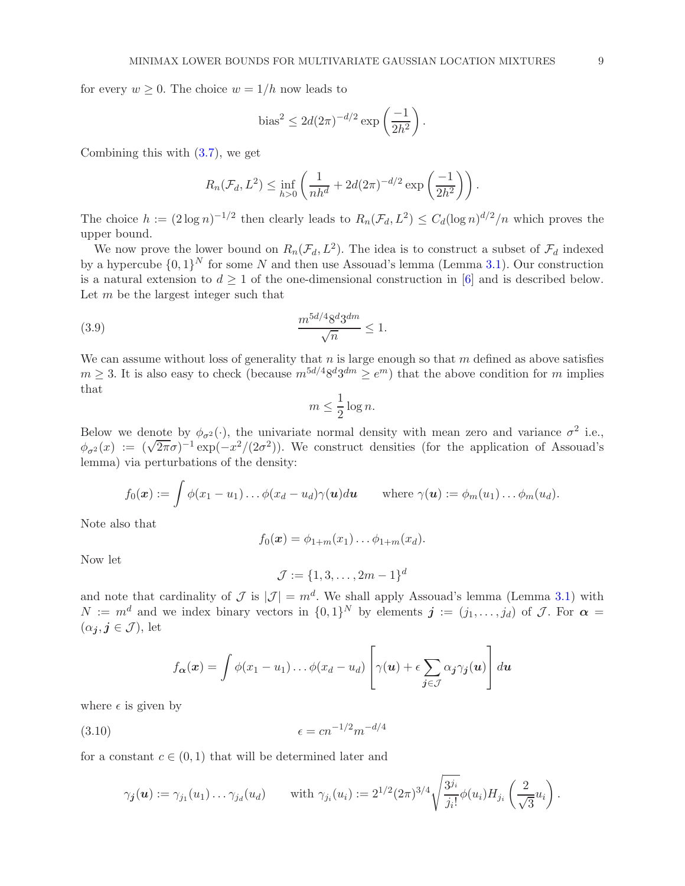for every  $w \geq 0$ . The choice  $w = 1/h$  now leads to

bias<sup>2</sup> 
$$
\leq 2d(2\pi)^{-d/2} \exp\left(\frac{-1}{2h^2}\right).
$$

Combining this with [\(3.7\)](#page-5-0), we get

$$
R_n(\mathcal{F}_d, L^2) \le \inf_{h>0} \left( \frac{1}{nh^d} + 2d(2\pi)^{-d/2} \exp\left(\frac{-1}{2h^2}\right) \right).
$$

The choice  $h := (2 \log n)^{-1/2}$  then clearly leads to  $R_n(\mathcal{F}_d, L^2) \leq C_d(\log n)^{d/2}/n$  which proves the upper bound.

We now prove the lower bound on  $R_n(\mathcal{F}_d, L^2)$ . The idea is to construct a subset of  $\mathcal{F}_d$  indexed by a hypercube  $\{0,1\}^N$  for some N and then use Assouad's lemma (Lemma [3.1\)](#page-4-0). Our construction is a natural extension to  $d \geq 1$  of the one-dimensional construction in [\[6](#page-18-1)] and is described below. Let  $m$  be the largest integer such that

(3.9) 
$$
\frac{m^{5d/4}8^d 3^{dm}}{\sqrt{n}} \le 1.
$$

We can assume without loss of generality that n is large enough so that m defined as above satisfies  $m \geq 3$ . It is also easy to check (because  $m^{5d/4}8^d3^{dm} \geq e^m$ ) that the above condition for m implies that

<span id="page-8-1"></span>
$$
m \le \frac{1}{2} \log n.
$$

Below we denote by  $\phi_{\sigma^2}(\cdot)$ , the univariate normal density with mean zero and variance  $\sigma^2$  i.e.,  $\phi_{\sigma^2}(x) := (\sqrt{2\pi}\sigma)^{-1} \exp(-x^2/(2\sigma^2))$ . We construct densities (for the application of Assouad's lemma) via perturbations of the density:

$$
f_0(\boldsymbol{x}) := \int \phi(x_1 - u_1) \ldots \phi(x_d - u_d) \gamma(\boldsymbol{u}) d\boldsymbol{u} \quad \text{where } \gamma(\boldsymbol{u}) := \phi_m(u_1) \ldots \phi_m(u_d).
$$

Note also that

$$
f_0(\boldsymbol{x}) = \phi_{1+m}(x_1) \dots \phi_{1+m}(x_d).
$$

Now let

$$
\mathcal{J} := \{1, 3, \dots, 2m - 1\}^d
$$

and note that cardinality of  $\mathcal J$  is  $|\mathcal J| = m^d$ . We shall apply Assouad's lemma (Lemma [3.1\)](#page-4-0) with  $N := m^d$  and we index binary vectors in  $\{0,1\}^N$  by elements  $\mathbf{j} := (j_1, \ldots, j_d)$  of  $\mathcal{J}$ . For  $\boldsymbol{\alpha} =$  $(\alpha_j, j \in \mathcal{J})$ , let

$$
f_{\boldsymbol{\alpha}}(\boldsymbol{x}) = \int \phi(x_1 - u_1) \dots \phi(x_d - u_d) \left[ \gamma(\boldsymbol{u}) + \epsilon \sum_{\boldsymbol{j} \in \mathcal{J}} \alpha_{\boldsymbol{j}} \gamma_{\boldsymbol{j}}(\boldsymbol{u}) \right] d\boldsymbol{u}
$$

where  $\epsilon$  is given by

<span id="page-8-0"></span>
$$
\epsilon = cn^{-1/2}m^{-d/4}
$$

for a constant  $c \in (0,1)$  that will be determined later and

$$
\gamma_{\bm{j}}(\bm{u}) := \gamma_{j_1}(u_1) \dots \gamma_{j_d}(u_d) \quad \text{with } \gamma_{j_i}(u_i) := 2^{1/2} (2\pi)^{3/4} \sqrt{\frac{3^{j_i}}{j_i!}} \phi(u_i) H_{j_i} \left(\frac{2}{\sqrt{3}} u_i\right).
$$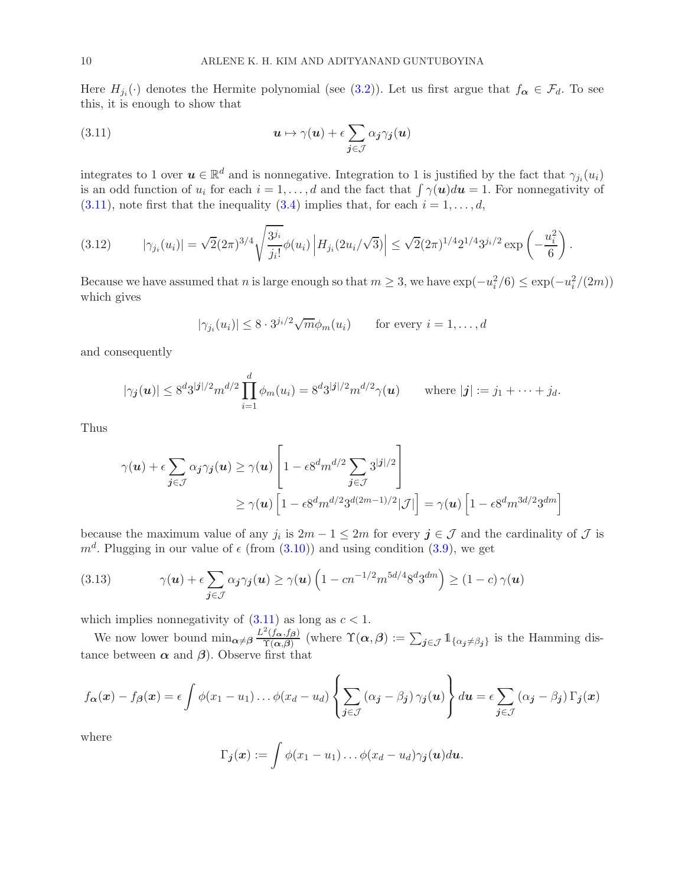Here  $H_{j_i}(\cdot)$  denotes the Hermite polynomial (see [\(3.2\)](#page-4-2)). Let us first argue that  $f_{\alpha} \in \mathcal{F}_d$ . To see this, it is enough to show that

<span id="page-9-0"></span>(3.11) 
$$
\mathbf{u} \mapsto \gamma(\mathbf{u}) + \epsilon \sum_{\mathbf{j} \in \mathcal{J}} \alpha_{\mathbf{j}} \gamma_{\mathbf{j}}(\mathbf{u})
$$

integrates to 1 over  $u \in \mathbb{R}^d$  and is nonnegative. Integration to 1 is justified by the fact that  $\gamma_{j_i}(u_i)$ is an odd function of  $u_i$  for each  $i = 1, ..., d$  and the fact that  $\int \gamma(\boldsymbol{u})d\boldsymbol{u} = 1$ . For nonnegativity of  $(3.11)$ , note first that the inequality  $(3.4)$  implies that, for each  $i = 1, \ldots, d$ ,

<span id="page-9-2"></span>
$$
(3.12) \qquad |\gamma_{j_i}(u_i)| = \sqrt{2}(2\pi)^{3/4} \sqrt{\frac{3^{j_i}}{j_i!}} \phi(u_i) \left| H_{j_i}(2u_i/\sqrt{3}) \right| \leq \sqrt{2}(2\pi)^{1/4} 2^{1/4} 3^{j_i/2} \exp\left(-\frac{u_i^2}{6}\right).
$$

Because we have assumed that n is large enough so that  $m \geq 3$ , we have  $\exp(-u_i^2/6) \leq \exp(-u_i^2/(2m))$ which gives

$$
|\gamma_{j_i}(u_i)| \leq 8 \cdot 3^{j_i/2} \sqrt{m} \phi_m(u_i) \qquad \text{for every } i = 1, \dots, d
$$

and consequently

$$
|\gamma_j(\boldsymbol{u})| \leq 8^d 3^{|j|/2} m^{d/2} \prod_{i=1}^d \phi_m(u_i) = 8^d 3^{|j|/2} m^{d/2} \gamma(\boldsymbol{u})
$$
 where  $|j| := j_1 + \cdots + j_d$ .

Thus

$$
\gamma(\boldsymbol{u}) + \epsilon \sum_{\boldsymbol{j} \in \mathcal{J}} \alpha_{\boldsymbol{j}} \gamma_{\boldsymbol{j}}(\boldsymbol{u}) \ge \gamma(\boldsymbol{u}) \left[ 1 - \epsilon 8^d m^{d/2} \sum_{\boldsymbol{j} \in \mathcal{J}} 3^{|\boldsymbol{j}|/2} \right]
$$
  
 
$$
\ge \gamma(\boldsymbol{u}) \left[ 1 - \epsilon 8^d m^{d/2} 3^{d(2m-1)/2} |\mathcal{J}| \right] = \gamma(\boldsymbol{u}) \left[ 1 - \epsilon 8^d m^{3d/2} 3^{dm} \right]
$$

because the maximum value of any  $j_i$  is  $2m - 1 \leq 2m$  for every  $j \in \mathcal{J}$  and the cardinality of  $\mathcal{J}$  is  $m<sup>d</sup>$ . Plugging in our value of  $\epsilon$  (from  $(3.10)$ ) and using condition  $(3.9)$ , we get

<span id="page-9-1"></span>(3.13) 
$$
\gamma(\mathbf{u}) + \epsilon \sum_{\mathbf{j} \in \mathcal{J}} \alpha_{\mathbf{j}} \gamma_{\mathbf{j}}(\mathbf{u}) \ge \gamma(\mathbf{u}) \left(1 - cn^{-1/2} m^{5d/4} 8^d 3^{dm}\right) \ge (1 - c) \gamma(\mathbf{u})
$$

which implies nonnegativity of  $(3.11)$  as long as  $c < 1$ .

We now lower bound  $\min_{\alpha \neq \beta} \frac{L^2(f_\alpha, f_\beta)}{\Upsilon(\alpha, \beta)}$  $\frac{\gamma(f_{\boldsymbol{\alpha}},f_{\boldsymbol{\beta}})}{\gamma(\boldsymbol{\alpha},\boldsymbol{\beta})}$  (where  $\gamma(\boldsymbol{\alpha},\boldsymbol{\beta}):=\sum_{j\in\mathcal{J}}\mathbb{1}_{\{\alpha_j\neq\beta_j\}}$  is the Hamming distance between  $\alpha$  and  $\beta$ ). Observe first that

$$
f_{\alpha}(\boldsymbol{x}) - f_{\beta}(\boldsymbol{x}) = \epsilon \int \phi(x_1 - u_1) \dots \phi(x_d - u_d) \left\{ \sum_{\boldsymbol{j} \in \mathcal{J}} (\alpha_{\boldsymbol{j}} - \beta_{\boldsymbol{j}}) \gamma_{\boldsymbol{j}}(\boldsymbol{u}) \right\} d\boldsymbol{u} = \epsilon \sum_{\boldsymbol{j} \in \mathcal{J}} (\alpha_{\boldsymbol{j}} - \beta_{\boldsymbol{j}}) \Gamma_{\boldsymbol{j}}(\boldsymbol{x})
$$

where

$$
\Gamma_{\bm j}({\bm x}) := \int \phi(x_1-u_1) \ldots \phi(x_d-u_d) \gamma_{\bm j}({\bm u}) d{\bm u}.
$$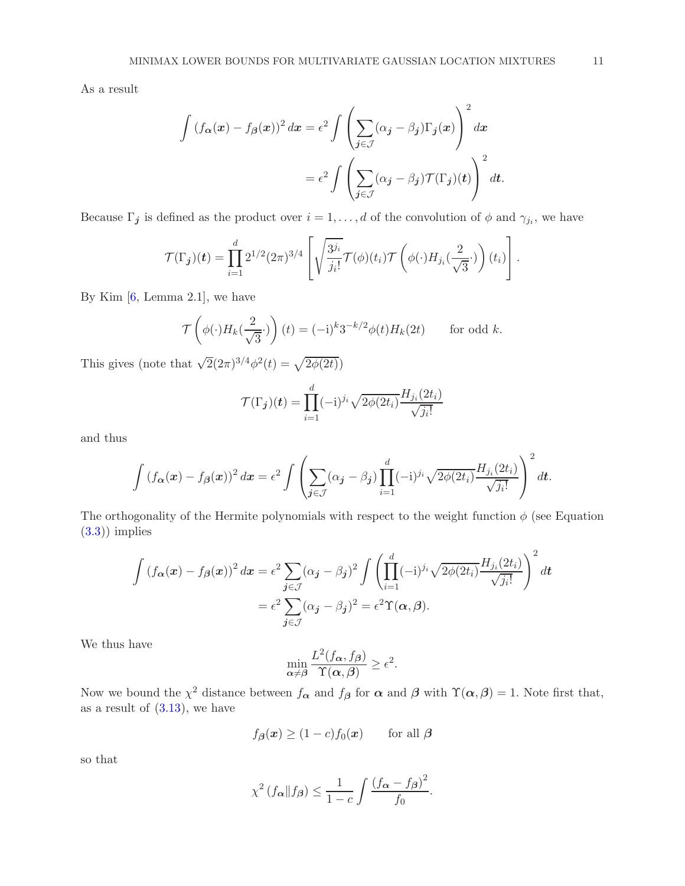As a result

$$
\int (f_{\alpha}(x) - f_{\beta}(x))^2 dx = \epsilon^2 \int \left( \sum_{j \in \mathcal{J}} (\alpha_j - \beta_j) \Gamma_j(x) \right)^2 dx
$$

$$
= \epsilon^2 \int \left( \sum_{j \in \mathcal{J}} (\alpha_j - \beta_j) \mathcal{T}(\Gamma_j)(t) \right)^2 dt.
$$

Because  $\Gamma_j$  is defined as the product over  $i = 1, \ldots, d$  of the convolution of  $\phi$  and  $\gamma_{j_i}$ , we have

$$
\mathcal{T}(\Gamma_{\boldsymbol{j}})(\boldsymbol{t}) = \prod_{i=1}^d 2^{1/2} (2\pi)^{3/4} \left[ \sqrt{\frac{3^{j_i}}{j_i!}} \mathcal{T}(\phi)(t_i) \mathcal{T} \left( \phi(\cdot) H_{j_i}(\frac{2}{\sqrt{3}} \cdot) \right) (t_i) \right].
$$

By Kim  $[6, \text{Lemma } 2.1]$ , we have

$$
\mathcal{T}\left(\phi(\cdot)H_k(\frac{2}{\sqrt{3}}\cdot)\right)(t) = (-i)^k 3^{-k/2}\phi(t)H_k(2t) \quad \text{for odd } k.
$$

This gives (note that  $\sqrt{2}(2\pi)^{3/4}\phi^2(t) = \sqrt{2\phi(2t)}$ )

$$
\mathcal{T}(\Gamma_j)(t) = \prod_{i=1}^d (-1)^{j_i} \sqrt{2\phi(2t_i)} \frac{H_{j_i}(2t_i)}{\sqrt{j_i!}}
$$

and thus

$$
\int (f_{\alpha}(x) - f_{\beta}(x))^2 dx = \epsilon^2 \int \left( \sum_{j \in \mathcal{J}} (\alpha_j - \beta_j) \prod_{i=1}^d (-1)^{j_i} \sqrt{2\phi(2t_i)} \frac{H_{j_i}(2t_i)}{\sqrt{j_i!}} \right)^2 dt.
$$

The orthogonality of the Hermite polynomials with respect to the weight function  $\phi$  (see Equation  $(3.3)$ ) implies

$$
\int \left(f_{\alpha}(x) - f_{\beta}(x)\right)^2 dx = \epsilon^2 \sum_{j \in \mathcal{J}} (\alpha_j - \beta_j)^2 \int \left(\prod_{i=1}^d (-i)^{j_i} \sqrt{2\phi(2t_i)} \frac{H_{j_i}(2t_i)}{\sqrt{j_i!}}\right)^2 dt
$$

$$
= \epsilon^2 \sum_{j \in \mathcal{J}} (\alpha_j - \beta_j)^2 = \epsilon^2 \Upsilon(\alpha, \beta).
$$

We thus have

$$
\min_{\alpha \neq \beta} \frac{L^2(f_{\alpha}, f_{\beta})}{\Upsilon(\alpha, \beta)} \ge \epsilon^2.
$$

Now we bound the  $\chi^2$  distance between  $f_{\alpha}$  and  $f_{\beta}$  for  $\alpha$  and  $\beta$  with  $\Upsilon(\alpha,\beta) = 1$ . Note first that, as a result of  $(3.13)$ , we have

$$
f_{\boldsymbol{\beta}}(\boldsymbol{x}) \ge (1-c)f_0(\boldsymbol{x}) \qquad \text{for all } \boldsymbol{\beta}
$$

so that

$$
\chi^2\left(f_{\alpha} \| f_{\beta}\right) \le \frac{1}{1-c} \int \frac{\left(f_{\alpha} - f_{\beta}\right)^2}{f_0}.
$$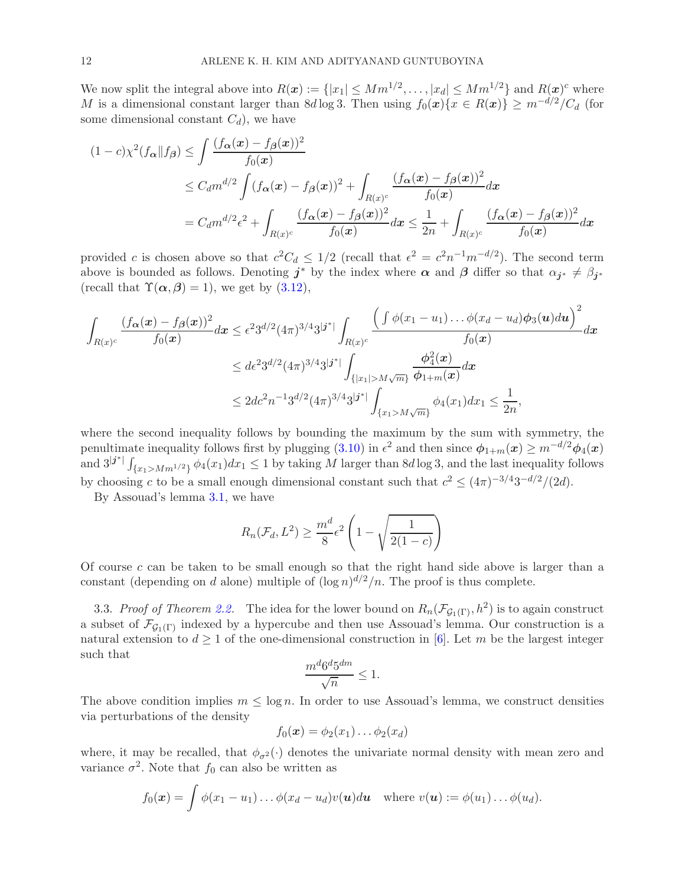We now split the integral above into  $R(x) := \{ |x_1| \leq Mm^{1/2}, \ldots, |x_d| \leq Mm^{1/2} \}$  and  $R(x)$ <sup>c</sup> where M is a dimensional constant larger than 8d log 3. Then using  $f_0(x)\{x \in R(x)\}\geq m^{-d/2}/C_d$  (for some dimensional constant  $C_d$ , we have

$$
(1-c)\chi^2(f_{\alpha}||f_{\beta}) \le \int \frac{(f_{\alpha}(x) - f_{\beta}(x))^2}{f_0(x)}
$$
  
\n
$$
\le C_d m^{d/2} \int (f_{\alpha}(x) - f_{\beta}(x))^2 + \int_{R(x)^c} \frac{(f_{\alpha}(x) - f_{\beta}(x))^2}{f_0(x)} dx
$$
  
\n
$$
= C_d m^{d/2} \epsilon^2 + \int_{R(x)^c} \frac{(f_{\alpha}(x) - f_{\beta}(x))^2}{f_0(x)} dx \le \frac{1}{2n} + \int_{R(x)^c} \frac{(f_{\alpha}(x) - f_{\beta}(x))^2}{f_0(x)} dx
$$

provided c is chosen above so that  $c^2C_d \leq 1/2$  (recall that  $\epsilon^2 = c^2n^{-1}m^{-d/2}$ ). The second term above is bounded as follows. Denoting  $j^*$  by the index where  $\alpha$  and  $\beta$  differ so that  $\alpha_{j^*} \neq \beta_{j^*}$ (recall that  $\Upsilon(\alpha, \beta) = 1$ ), we get by [\(3.12\)](#page-9-2),

$$
\int_{R(x)^c} \frac{(f_{\alpha}(x) - f_{\beta}(x))^2}{f_0(x)} dx \leq \epsilon^2 3^{d/2} (4\pi)^{3/4} 3^{|j^*|} \int_{R(x)^c} \frac{\left(\int \phi(x_1 - u_1) \dots \phi(x_d - u_d) \phi_3(u) du\right)^2}{f_0(x)} dx
$$
  

$$
\leq d\epsilon^2 3^{d/2} (4\pi)^{3/4} 3^{|j^*|} \int_{\{|x_1| > M\sqrt{m}\}} \frac{\phi_4^2(x)}{\phi_{1+m}(x)} dx
$$
  

$$
\leq 2d c^2 n^{-1} 3^{d/2} (4\pi)^{3/4} 3^{|j^*|} \int_{\{x_1 > M\sqrt{m}\}} \phi_4(x_1) dx_1 \leq \frac{1}{2n},
$$

where the second inequality follows by bounding the maximum by the sum with symmetry, the penultimate inequality follows first by plugging [\(3.10\)](#page-8-0) in  $\epsilon^2$  and then since  $\phi_{1+m}(x) \geq m^{-d/2} \phi_4(x)$ and  $3^{|j^*|}\int_{\{x_1>Mm^{1/2}\}} \phi_4(x_1)dx_1 \leq 1$  by taking M larger than  $8d\log 3$ , and the last inequality follows by choosing c to be a small enough dimensional constant such that  $c^2 \leq (4\pi)^{-3/4}3^{-d/2}/(2d)$ .

By Assouad's lemma [3.1,](#page-4-0) we have

$$
R_n(\mathcal{F}_d, L^2) \ge \frac{m^d}{8} \epsilon^2 \left( 1 - \sqrt{\frac{1}{2(1-c)}} \right)
$$

Of course  $c$  can be taken to be small enough so that the right hand side above is larger than a constant (depending on d alone) multiple of  $(\log n)^{d/2}/n$ . The proof is thus complete.

3.3. Proof of Theorem [2.2.](#page-3-0) The idea for the lower bound on  $R_n(\mathcal{F}_{G_1(\Gamma)}, h^2)$  is to again construct a subset of  $\mathcal{F}_{G_1(\Gamma)}$  indexed by a hypercube and then use Assouad's lemma. Our construction is a natural extension to  $d \geq 1$  of the one-dimensional construction in [\[6](#page-18-1)]. Let m be the largest integer such that

$$
\frac{m^d 6^d 5^{dm}}{\sqrt{n}} \le 1.
$$

The above condition implies  $m \leq \log n$ . In order to use Assouad's lemma, we construct densities via perturbations of the density

$$
f_0(\boldsymbol{x}) = \phi_2(x_1) \dots \phi_2(x_d)
$$

where, it may be recalled, that  $\phi_{\sigma^2}(\cdot)$  denotes the univariate normal density with mean zero and variance  $\sigma^2$ . Note that  $f_0$  can also be written as

$$
f_0(\boldsymbol{x}) = \int \phi(x_1 - u_1) \ldots \phi(x_d - u_d) v(\boldsymbol{u}) d\boldsymbol{u} \quad \text{where } v(\boldsymbol{u}) := \phi(u_1) \ldots \phi(u_d).
$$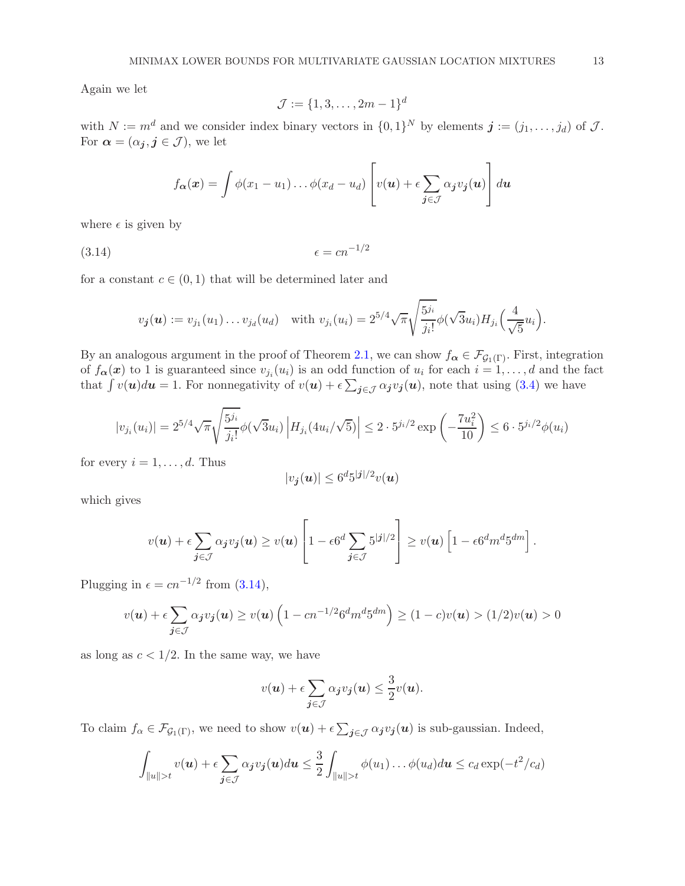Again we let

<span id="page-12-0"></span>
$$
\mathcal{J} := \{1, 3, \dots, 2m - 1\}^d
$$

with  $N := m^d$  and we consider index binary vectors in  $\{0, 1\}^N$  by elements  $\mathbf{j} := (j_1, \ldots, j_d)$  of  $\mathcal{J}$ . For  $\alpha = (\alpha_j, j \in \mathcal{J})$ , we let

$$
f_{\boldsymbol{\alpha}}(\boldsymbol{x}) = \int \phi(x_1 - u_1) \dots \phi(x_d - u_d) \left[ v(\boldsymbol{u}) + \epsilon \sum_{\boldsymbol{j} \in \mathcal{J}} \alpha_{\boldsymbol{j}} v_{\boldsymbol{j}}(\boldsymbol{u}) \right] d\boldsymbol{u}
$$

where  $\epsilon$  is given by

$$
(3.14) \qquad \epsilon = cn^{-1/2}
$$

for a constant  $c \in (0,1)$  that will be determined later and

$$
v_{\bm{j}}(\bm{u}) := v_{j_1}(u_1) \dots v_{j_d}(u_d) \quad \text{with } v_{j_i}(u_i) = 2^{5/4} \sqrt{\pi} \sqrt{\frac{5^{j_i}}{j_i!}} \phi(\sqrt{3}u_i) H_{j_i}\left(\frac{4}{\sqrt{5}}u_i\right).
$$

By an analogous argument in the proof of Theorem [2.1,](#page-2-0) we can show  $f_{\alpha} \in \mathcal{F}_{\mathcal{G}_1(\Gamma)}$ . First, integration of  $f_{\alpha}(x)$  to 1 is guaranteed since  $v_{j_i}(u_i)$  is an odd function of  $u_i$  for each  $i = 1, \ldots, d$  and the fact that  $\int v(\mathbf{u})d\mathbf{u} = 1$ . For nonnegativity of  $v(\mathbf{u}) + \epsilon \sum_{\mathbf{j} \in \mathcal{J}} \alpha_{\mathbf{j}} v_{\mathbf{j}}(\mathbf{u})$ , note that using [\(3.4\)](#page-4-3) we have

$$
|v_{j_i}(u_i)| = 2^{5/4} \sqrt{\pi} \sqrt{\frac{5^{j_i}}{j_i!}} \phi(\sqrt{3}u_i) \left| H_{j_i}(4u_i/\sqrt{5}) \right| \le 2 \cdot 5^{j_i/2} \exp\left(-\frac{7u_i^2}{10}\right) \le 6 \cdot 5^{j_i/2} \phi(u_i)
$$

for every  $i = 1, \ldots, d$ . Thus

$$
|v_{\boldsymbol{j}}(\boldsymbol{u})| \leq 6^d 5^{|\boldsymbol{j}|/2} v(\boldsymbol{u})
$$

which gives

$$
v(\boldsymbol{u}) + \epsilon \sum_{\boldsymbol{j} \in \mathcal{J}} \alpha_{\boldsymbol{j}} v_{\boldsymbol{j}}(\boldsymbol{u}) \ge v(\boldsymbol{u}) \left[1 - \epsilon 6^d \sum_{\boldsymbol{j} \in \mathcal{J}} 5^{|\boldsymbol{j}|/2} \right] \ge v(\boldsymbol{u}) \left[1 - \epsilon 6^d m^d 5^{dm}\right].
$$

Plugging in  $\epsilon = cn^{-1/2}$  from [\(3.14\)](#page-12-0),

$$
v(\boldsymbol{u}) + \epsilon \sum_{\boldsymbol{j} \in \mathcal{J}} \alpha_{\boldsymbol{j}} v_{\boldsymbol{j}}(\boldsymbol{u}) \ge v(\boldsymbol{u}) \left(1 - c n^{-1/2} 6^d m^d 5^{dm}\right) \ge (1 - c)v(\boldsymbol{u}) > (1/2)v(\boldsymbol{u}) > 0
$$

as long as  $c < 1/2$ . In the same way, we have

$$
v(\boldsymbol{u}) + \epsilon \sum_{\boldsymbol{j} \in \mathcal{J}} \alpha_{\boldsymbol{j}} v_{\boldsymbol{j}}(\boldsymbol{u}) \leq \frac{3}{2} v(\boldsymbol{u}).
$$

To claim  $f_{\alpha} \in \mathcal{F}_{\mathcal{G}_1(\Gamma)}$ , we need to show  $v(u) + \epsilon \sum_{j \in \mathcal{J}} \alpha_j v_j(u)$  is sub-gaussian. Indeed,

$$
\int_{\|u\|>t} v(u) + \epsilon \sum_{j \in \mathcal{J}} \alpha_j v_j(u) du \leq \frac{3}{2} \int_{\|u\|>t} \phi(u_1) \dots \phi(u_d) du \leq c_d \exp(-t^2/c_d)
$$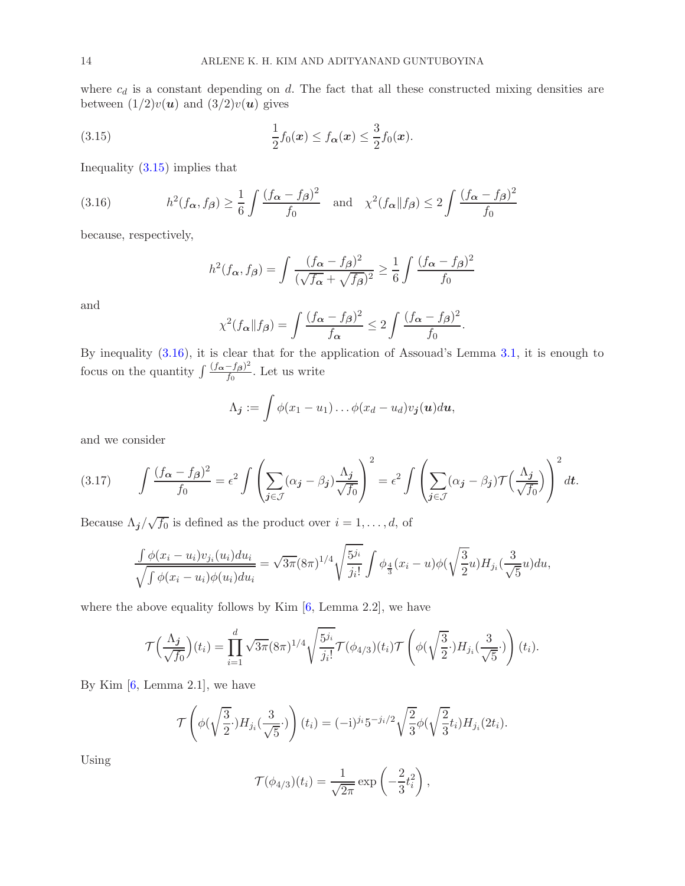where  $c_d$  is a constant depending on  $d$ . The fact that all these constructed mixing densities are between  $(1/2)v(u)$  and  $(3/2)v(u)$  gives

(3.15) 
$$
\frac{1}{2}f_0(x) \le f_{\alpha}(x) \le \frac{3}{2}f_0(x).
$$

Inequality [\(3.15\)](#page-13-0) implies that

(3.16) 
$$
h^2(f_{\alpha}, f_{\beta}) \ge \frac{1}{6} \int \frac{(f_{\alpha} - f_{\beta})^2}{f_0} \text{ and } \chi^2(f_{\alpha} || f_{\beta}) \le 2 \int \frac{(f_{\alpha} - f_{\beta})^2}{f_0}
$$

because, respectively,

<span id="page-13-1"></span><span id="page-13-0"></span>
$$
h^{2}(f_{\alpha}, f_{\beta}) = \int \frac{(f_{\alpha} - f_{\beta})^{2}}{(\sqrt{f_{\alpha}} + \sqrt{f_{\beta}})^{2}} \ge \frac{1}{6} \int \frac{(f_{\alpha} - f_{\beta})^{2}}{f_{0}}
$$

and

$$
\chi^2(f_{\alpha} \| f_{\beta}) = \int \frac{(f_{\alpha} - f_{\beta})^2}{f_{\alpha}} \le 2 \int \frac{(f_{\alpha} - f_{\beta})^2}{f_0}.
$$

By inequality [\(3.16\)](#page-13-1), it is clear that for the application of Assouad's Lemma [3.1,](#page-4-0) it is enough to focus on the quantity  $\int \frac{(f_{\alpha}-f_{\beta})^2}{f_0}$  $\frac{-J\beta}{f_0}$ . Let us write

$$
\Lambda_j := \int \phi(x_1 - u_1) \dots \phi(x_d - u_d) v_j(u) du,
$$

and we consider

(3.17) 
$$
\int \frac{(f_{\alpha} - f_{\beta})^2}{f_0} = \epsilon^2 \int \left( \sum_{j \in \mathcal{J}} (\alpha_j - \beta_j) \frac{\Lambda_j}{\sqrt{f_0}} \right)^2 = \epsilon^2 \int \left( \sum_{j \in \mathcal{J}} (\alpha_j - \beta_j) \mathcal{T} \left( \frac{\Lambda_j}{\sqrt{f_0}} \right) \right)^2 dt.
$$

Because  $\Lambda_j/\sqrt{f_0}$  is defined as the product over  $i=1,\ldots,d,$  of

$$
\frac{\int \phi(x_i - u_i)v_{j_i}(u_i)du_i}{\sqrt{\int \phi(x_i - u_i)\phi(u_i)du_i}} = \sqrt{3\pi} (8\pi)^{1/4} \sqrt{\frac{5^{j_i}}{j_i!}} \int \phi_{\frac{4}{3}}(x_i - u)\phi(\sqrt{\frac{3}{2}}u)H_{j_i}(\frac{3}{\sqrt{5}}u)du,
$$

where the above equality follows by Kim  $[6, \text{Lemma } 2.2]$ , we have

$$
\mathcal{T}\Big(\frac{\Lambda_j}{\sqrt{f_0}}\Big)(t_i) = \prod_{i=1}^d \sqrt{3\pi} (8\pi)^{1/4} \sqrt{\frac{5^{j_i}}{j_i!}} \mathcal{T}(\phi_{4/3})(t_i) \mathcal{T}\left(\phi(\sqrt{\frac{3}{2}}\cdot)H_{j_i}(\frac{3}{\sqrt{5}}\cdot)\right)(t_i).
$$

By Kim  $[6, \text{Lemma } 2.1]$ , we have

$$
\mathcal{T}\left(\phi(\sqrt{\frac{3}{2}}\cdot)H_{j_i}(\frac{3}{\sqrt{5}}\cdot)\right)(t_i) = (-i)^{j_i}5^{-j_i/2}\sqrt{\frac{2}{3}}\phi(\sqrt{\frac{2}{3}}t_i)H_{j_i}(2t_i).
$$

Using

$$
\mathcal{T}(\phi_{4/3})(t_i) = \frac{1}{\sqrt{2\pi}} \exp\left(-\frac{2}{3}t_i^2\right),\,
$$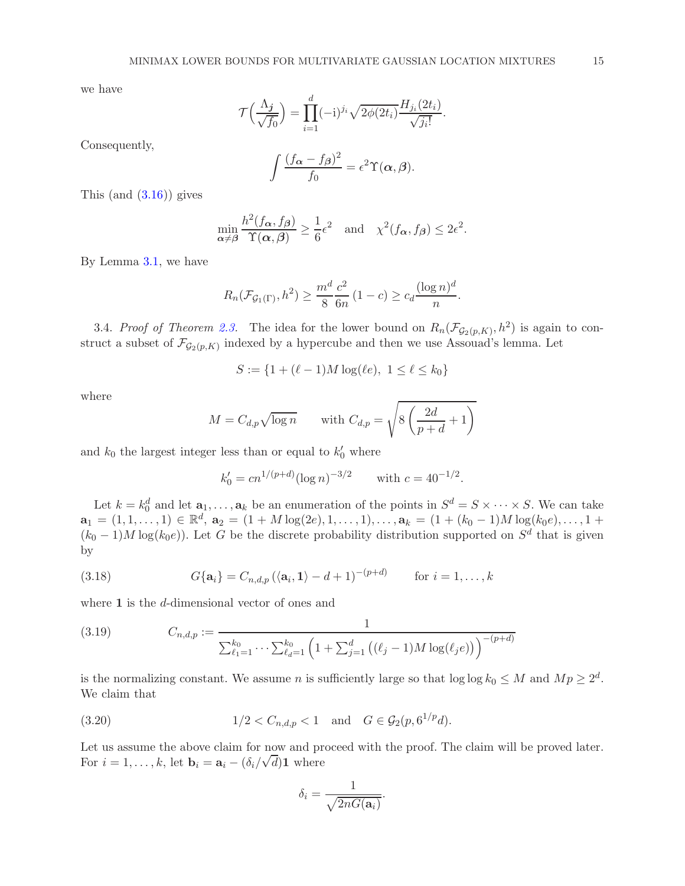we have

$$
\mathcal{T}\left(\frac{\Lambda_j}{\sqrt{f_0}}\right) = \prod_{i=1}^d (-1)^{j_i} \sqrt{2\phi(2t_i)} \frac{H_{j_i}(2t_i)}{\sqrt{j_i!}}
$$

.

Consequently,

$$
\int \frac{(f_{\alpha} - f_{\beta})^2}{f_0} = \epsilon^2 \Upsilon(\alpha, \beta).
$$

This  $(and (3.16))$  $(and (3.16))$  $(and (3.16))$  gives

$$
\min_{\alpha \neq \beta} \frac{h^2(f_{\alpha}, f_{\beta})}{\Upsilon(\alpha, \beta)} \ge \frac{1}{6} \epsilon^2 \quad \text{and} \quad \chi^2(f_{\alpha}, f_{\beta}) \le 2\epsilon^2.
$$

By Lemma [3.1,](#page-4-0) we have

$$
R_n(\mathcal{F}_{\mathcal{G}_1(\Gamma)}, h^2) \ge \frac{m^d}{8} \frac{c^2}{6n} (1-c) \ge c_d \frac{(\log n)^d}{n}.
$$

3.4. Proof of Theorem [2.3.](#page-3-1) The idea for the lower bound on  $R_n(\mathcal{F}_{\mathcal{G}_2(p,K)}, h^2)$  is again to construct a subset of  $\mathcal{F}_{\mathcal{G}_2(p,K)}$  indexed by a hypercube and then we use Assouad's lemma. Let

$$
S := \{ 1 + (\ell - 1)M \log(\ell e), \ 1 \le \ell \le k_0 \}
$$

where

$$
M = C_{d,p} \sqrt{\log n} \quad \text{with } C_{d,p} = \sqrt{8\left(\frac{2d}{p+d} + 1\right)}
$$

and  $k_0$  the largest integer less than or equal to  $k'_0$  where

$$
k'_0 = cn^{1/(p+d)} (\log n)^{-3/2}
$$
 with  $c = 40^{-1/2}$ .

Let  $k = k_0^d$  and let  $\mathbf{a}_1, \ldots, \mathbf{a}_k$  be an enumeration of the points in  $S^d = S \times \cdots \times S$ . We can take  $\mathbf{a}_1 = (1, 1, \ldots, 1) \in \mathbb{R}^d$ ,  $\mathbf{a}_2 = (1 + M \log(2e), 1, \ldots, 1), \ldots, \mathbf{a}_k = (1 + (k_0 - 1)M \log(k_0 e), \ldots, 1 +$  $(k_0 - 1)M \log(k_0 e)$ ). Let G be the discrete probability distribution supported on  $S^d$  that is given by

(3.18) 
$$
G\{\mathbf{a}_i\} = C_{n,d,p} \left(\langle \mathbf{a}_i, \mathbf{1} \rangle - d + 1\right)^{-(p+d)} \quad \text{for } i = 1, \ldots, k
$$

where 1 is the d-dimensional vector of ones and

<span id="page-14-1"></span>(3.19) 
$$
C_{n,d,p} := \frac{1}{\sum_{\ell_1=1}^{k_0} \cdots \sum_{\ell_d=1}^{k_0} \left(1 + \sum_{j=1}^d \left((\ell_j - 1)M \log(\ell_j e)\right)\right)^{-(p+d)}}
$$

is the normalizing constant. We assume *n* is sufficiently large so that  $log log k_0 \leq M$  and  $Mp \geq 2^d$ . We claim that

(3.20) 
$$
1/2 < C_{n,d,p} < 1 \text{ and } G \in \mathcal{G}_2(p, 6^{1/p}d).
$$

Let us assume the above claim for now and proceed with the proof. The claim will be proved later. For  $i = 1, ..., k$ , let  $\mathbf{b}_i = \mathbf{a}_i - (\delta_i/\sqrt{d})\mathbf{1}$  where

<span id="page-14-0"></span>
$$
\delta_i = \frac{1}{\sqrt{2nG(\mathbf{a}_i)}}.
$$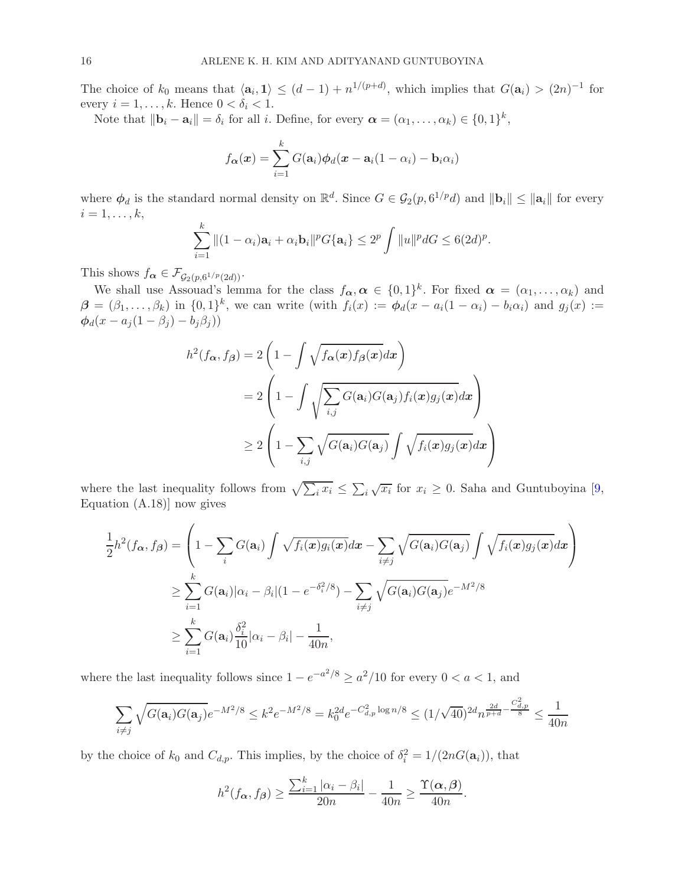The choice of  $k_0$  means that  $\langle \mathbf{a}_i, \mathbf{1} \rangle \leq (d-1) + n^{1/(p+d)}$ , which implies that  $G(\mathbf{a}_i) > (2n)^{-1}$  for every  $i = 1, \ldots, k$ . Hence  $0 < \delta_i < 1$ .

Note that  $\|\mathbf{b}_i - \mathbf{a}_i\| = \delta_i$  for all i. Define, for every  $\boldsymbol{\alpha} = (\alpha_1, \dots, \alpha_k) \in \{0, 1\}^k$ ,

$$
f_{\boldsymbol{\alpha}}(\boldsymbol{x}) = \sum_{i=1}^{k} G(\mathbf{a}_i) \phi_d(\boldsymbol{x} - \mathbf{a}_i (1 - \alpha_i) - \mathbf{b}_i \alpha_i)
$$

where  $\phi_d$  is the standard normal density on  $\mathbb{R}^d$ . Since  $G \in \mathcal{G}_2(p, 6^{1/p}d)$  and  $\|\mathbf{b}_i\| \le \|\mathbf{a}_i\|$  for every  $i=1,\ldots,k,$ 

$$
\sum_{i=1}^k \|(1-\alpha_i)\mathbf{a}_i + \alpha_i \mathbf{b}_i\|^p G\{\mathbf{a}_i\} \le 2^p \int \|u\|^p dG \le 6(2d)^p.
$$

This shows  $f_{\alpha} \in \mathcal{F}_{\mathcal{G}_2(p, 6^{1/p}(2d))}$ .

We shall use Assouad's lemma for the class  $f_{\alpha}, \alpha \in \{0, 1\}^k$ . For fixed  $\alpha = (\alpha_1, \dots, \alpha_k)$  and  $\boldsymbol{\beta} = (\beta_1, \ldots, \beta_k)$  in  $\{0, 1\}^k$ , we can write (with  $f_i(x) := \boldsymbol{\phi}_d(x - a_i(1 - \alpha_i) - b_i\alpha_i)$  and  $g_j(x) :=$  $\phi_d(x-a_j(1-\beta_j)-b_j\beta_j))$ 

$$
h^{2}(f_{\boldsymbol{\alpha}},f_{\boldsymbol{\beta}}) = 2\left(1 - \int \sqrt{f_{\boldsymbol{\alpha}}(\boldsymbol{x})f_{\boldsymbol{\beta}}(\boldsymbol{x})}d\boldsymbol{x}\right)
$$
  
= 2\left(1 - \int \sqrt{\sum\_{i,j}G(\mathbf{a}\_{i})G(\mathbf{a}\_{j})f\_{i}(\boldsymbol{x})g\_{j}(\boldsymbol{x})}d\boldsymbol{x}\right)  

$$
\geq 2\left(1 - \sum_{i,j}\sqrt{G(\mathbf{a}_{i})G(\mathbf{a}_{j})}\int \sqrt{f_{i}(\boldsymbol{x})g_{j}(\boldsymbol{x})}d\boldsymbol{x}\right)
$$

 $\setminus$  $\overline{1}$ 

where the last inequality follows from  $\sqrt{\sum_i x_i} \leq \sum_i \sqrt{x_i}$  for  $x_i \geq 0$ . Saha and Guntuboyina [\[9](#page-18-9), Equation (A.18)] now gives

$$
\frac{1}{2}h^2(f_{\boldsymbol{\alpha}},f_{\boldsymbol{\beta}}) = \left(1 - \sum_i G(\mathbf{a}_i) \int \sqrt{f_i(\boldsymbol{x})g_i(\boldsymbol{x})} d\boldsymbol{x} - \sum_{i \neq j} \sqrt{G(\mathbf{a}_i)G(\mathbf{a}_j)} \int \sqrt{f_i(\boldsymbol{x})g_j(\boldsymbol{x})} d\boldsymbol{x}\right)
$$
\n
$$
\geq \sum_{i=1}^k G(\mathbf{a}_i) |\alpha_i - \beta_i| (1 - e^{-\delta_i^2/8}) - \sum_{i \neq j} \sqrt{G(\mathbf{a}_i)G(\mathbf{a}_j)} e^{-M^2/8}
$$
\n
$$
\geq \sum_{i=1}^k G(\mathbf{a}_i) \frac{\delta_i^2}{10} |\alpha_i - \beta_i| - \frac{1}{40n},
$$

where the last inequality follows since  $1 - e^{-a^2/8} \ge a^2/10$  for every  $0 < a < 1$ , and

$$
\sum_{i \neq j} \sqrt{G(\mathbf{a}_i)G(\mathbf{a}_j)} e^{-M^2/8} \le k^2 e^{-M^2/8} = k_0^{2d} e^{-C_{d,p}^2 \log n/8} \le (1/\sqrt{40})^{2d} n^{\frac{2d}{p+d} - \frac{C_{d,p}^2}{8}} \le \frac{1}{40n}
$$

by the choice of  $k_0$  and  $C_{d,p}$ . This implies, by the choice of  $\delta_i^2 = 1/(2nG(\mathbf{a}_i))$ , that

$$
h^{2}(f_{\boldsymbol{\alpha}}, f_{\boldsymbol{\beta}}) \geq \frac{\sum_{i=1}^{k} |\alpha_{i} - \beta_{i}|}{20n} - \frac{1}{40n} \geq \frac{\Upsilon(\boldsymbol{\alpha}, \boldsymbol{\beta})}{40n}.
$$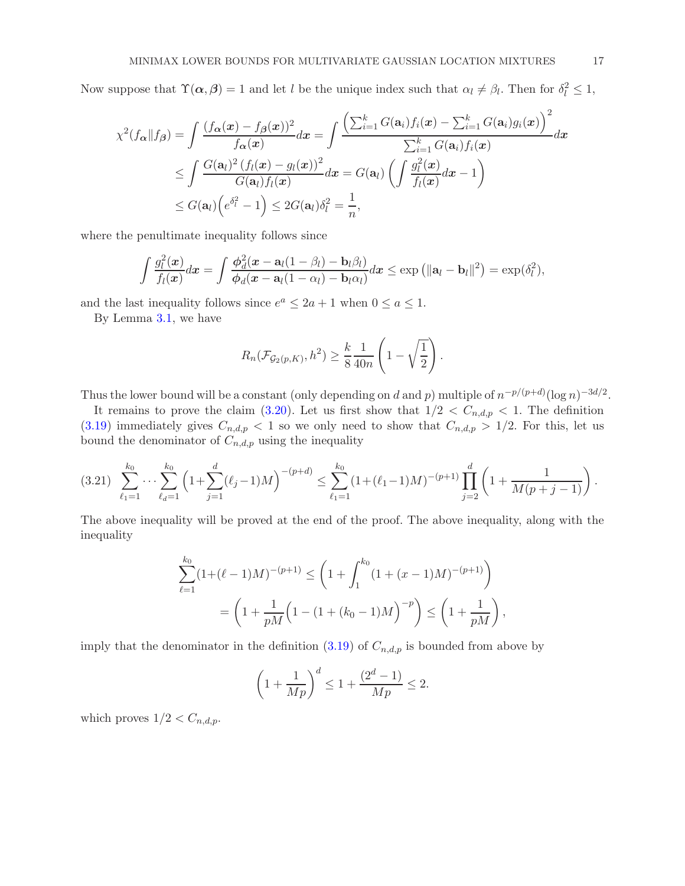Now suppose that  $\Upsilon(\alpha, \beta) = 1$  and let l be the unique index such that  $\alpha_l \neq \beta_l$ . Then for  $\delta_l^2 \leq 1$ ,

$$
\chi^2(f_{\boldsymbol{\alpha}}\|f_{\boldsymbol{\beta}}) = \int \frac{(f_{\boldsymbol{\alpha}}(\boldsymbol{x}) - f_{\boldsymbol{\beta}}(\boldsymbol{x}))^2}{f_{\boldsymbol{\alpha}}(\boldsymbol{x})} d\boldsymbol{x} = \int \frac{\left(\sum_{i=1}^k G(\mathbf{a}_i) f_i(\boldsymbol{x}) - \sum_{i=1}^k G(\mathbf{a}_i) g_i(\boldsymbol{x})\right)^2}{\sum_{i=1}^k G(\mathbf{a}_i) f_i(\boldsymbol{x})} d\boldsymbol{x}
$$
  

$$
\leq \int \frac{G(\mathbf{a}_l)^2 (f_l(\boldsymbol{x}) - g_l(\boldsymbol{x}))^2}{G(\mathbf{a}_l) f_l(\boldsymbol{x})} d\boldsymbol{x} = G(\mathbf{a}_l) \left(\int \frac{g_l^2(\boldsymbol{x})}{f_l(\boldsymbol{x})} d\boldsymbol{x} - 1\right)
$$
  

$$
\leq G(\mathbf{a}_l) \left(e^{\delta_l^2} - 1\right) \leq 2G(\mathbf{a}_l) \delta_l^2 = \frac{1}{n},
$$

where the penultimate inequality follows since

$$
\int \frac{g_l^2(\boldsymbol{x})}{f_l(\boldsymbol{x})} d\boldsymbol{x} = \int \frac{\phi_d^2(\boldsymbol{x} - \mathbf{a}_l(1-\beta_l) - \mathbf{b}_l\beta_l)}{\phi_d(\boldsymbol{x} - \mathbf{a}_l(1-\alpha_l) - \mathbf{b}_l\alpha_l)} d\boldsymbol{x} \leq \exp\left(\|\mathbf{a}_l - \mathbf{b}_l\|^2\right) = \exp(\delta_l^2),
$$

and the last inequality follows since  $e^a \le 2a + 1$  when  $0 \le a \le 1$ .

By Lemma [3.1,](#page-4-0) we have

$$
R_n(\mathcal{F}_{\mathcal{G}_2(p,K)},h^2) \geq \frac{k}{8} \frac{1}{40n} \left(1 - \sqrt{\frac{1}{2}}\right).
$$

Thus the lower bound will be a constant (only depending on d and p) multiple of  $n^{-p/(p+d)}(\log n)^{-3d/2}$ .

It remains to prove the claim [\(3.20\)](#page-14-0). Let us first show that  $1/2 < C_{n,d,p} < 1$ . The definition  $(3.19)$  immediately gives  $C_{n,d,p} < 1$  so we only need to show that  $C_{n,d,p} > 1/2$ . For this, let us bound the denominator of  $C_{n,d,p}$  using the inequality

<span id="page-16-0"></span>
$$
(3.21) \sum_{\ell_1=1}^{k_0} \cdots \sum_{\ell_d=1}^{k_0} \left(1 + \sum_{j=1}^d (\ell_j - 1)M\right)^{-(p+d)} \le \sum_{\ell_1=1}^{k_0} \left(1 + (\ell_1 - 1)M\right)^{-(p+1)} \prod_{j=2}^d \left(1 + \frac{1}{M(p+j-1)}\right).
$$

The above inequality will be proved at the end of the proof. The above inequality, along with the inequality

$$
\sum_{\ell=1}^{k_0} (1 + (\ell - 1)M)^{-(p+1)} \le \left(1 + \int_1^{k_0} (1 + (x - 1)M)^{-(p+1)}\right)
$$

$$
= \left(1 + \frac{1}{pM} \left(1 - (1 + (k_0 - 1)M)\right)^{-p}\right) \le \left(1 + \frac{1}{pM}\right),
$$

imply that the denominator in the definition  $(3.19)$  of  $C_{n,d,p}$  is bounded from above by

$$
\left(1 + \frac{1}{Mp}\right)^d \le 1 + \frac{(2^d - 1)}{Mp} \le 2.
$$

which proves  $1/2 < C_{n,d,p}$ .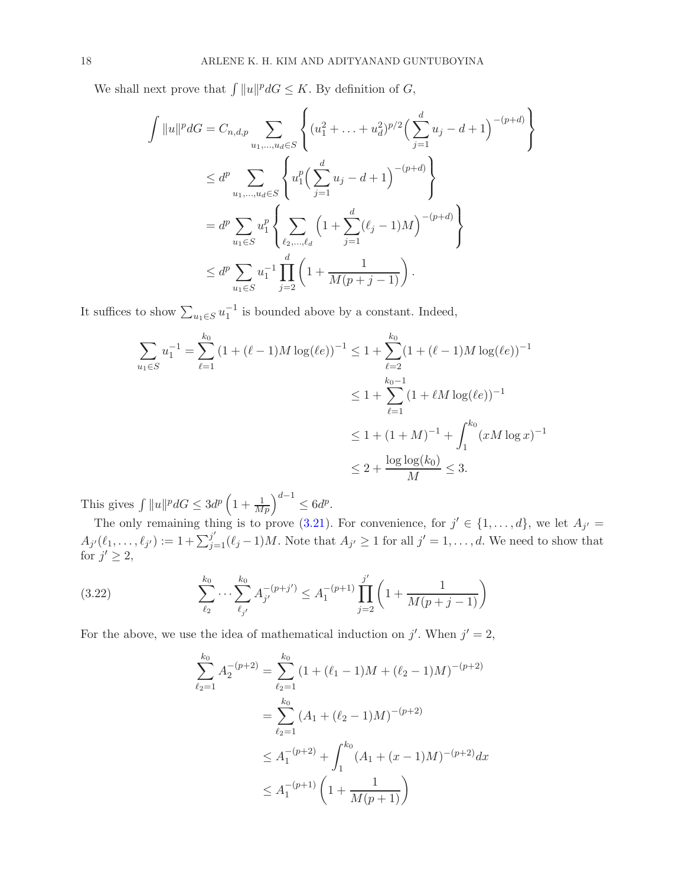We shall next prove that  $\int ||u||^p dG \leq K$ . By definition of G,

$$
\int ||u||^{p} dG = C_{n,d,p} \sum_{u_{1},...,u_{d} \in S} \left\{ (u_{1}^{2} + ... + u_{d}^{2})^{p/2} \left( \sum_{j=1}^{d} u_{j} - d + 1 \right)^{-(p+d)} \right\}
$$
  
\n
$$
\leq d^{p} \sum_{u_{1},...,u_{d} \in S} \left\{ u_{1}^{p} \left( \sum_{j=1}^{d} u_{j} - d + 1 \right)^{-(p+d)} \right\}
$$
  
\n
$$
= d^{p} \sum_{u_{1} \in S} u_{1}^{p} \left\{ \sum_{\ell_{2},..., \ell_{d}} \left( 1 + \sum_{j=1}^{d} (\ell_{j} - 1) M \right)^{-(p+d)} \right\}
$$
  
\n
$$
\leq d^{p} \sum_{u_{1} \in S} u_{1}^{-1} \prod_{j=2}^{d} \left( 1 + \frac{1}{M(p+j-1)} \right).
$$

It suffices to show  $\sum_{u_1 \in S} u_1^{-1}$  is bounded above by a constant. Indeed,

$$
\sum_{u_1 \in S} u_1^{-1} = \sum_{\ell=1}^{k_0} (1 + (\ell - 1)M \log(\ell e))^{-1} \le 1 + \sum_{\ell=2}^{k_0} (1 + (\ell - 1)M \log(\ell e))^{-1}
$$
  

$$
\le 1 + \sum_{\ell=1}^{k_0 - 1} (1 + \ell M \log(\ell e))^{-1}
$$
  

$$
\le 1 + (1 + M)^{-1} + \int_1^{k_0} (xM \log x)^{-1}
$$
  

$$
\le 2 + \frac{\log \log(k_0)}{M} \le 3.
$$

This gives  $\int ||u||^p dG \leq 3d^p \left(1 + \frac{1}{Mp}\right)^{d-1} \leq 6d^p$ .

The only remaining thing is to prove [\(3.21\)](#page-16-0). For convenience, for  $j' \in \{1, ..., d\}$ , we let  $A_{j'} =$  $A_{j'}(\ell_1,\ldots,\ell_{j'}) := 1 + \sum_{j=1}^{j'}(\ell_j-1)M$ . Note that  $A_{j'} \geq 1$  for all  $j' = 1,\ldots,d$ . We need to show that for  $j' \geq 2$ ,

(3.22) 
$$
\sum_{\ell_2}^{k_0} \cdots \sum_{\ell_{j'}}^{k_0} A_{j'}^{-(p+j')} \leq A_1^{-(p+1)} \prod_{j=2}^{j'} \left( 1 + \frac{1}{M(p+j-1)} \right)
$$

For the above, we use the idea of mathematical induction on j'. When  $j' = 2$ ,

<span id="page-17-0"></span>
$$
\sum_{\ell_2=1}^{k_0} A_2^{-(p+2)} = \sum_{\ell_2=1}^{k_0} (1 + (\ell_1 - 1)M + (\ell_2 - 1)M)^{-(p+2)}
$$
  
= 
$$
\sum_{\ell_2=1}^{k_0} (A_1 + (\ell_2 - 1)M)^{-(p+2)}
$$
  

$$
\leq A_1^{-(p+2)} + \int_1^{k_0} (A_1 + (x - 1)M)^{-(p+2)} dx
$$
  

$$
\leq A_1^{-(p+1)} \left(1 + \frac{1}{M(p+1)}\right)
$$